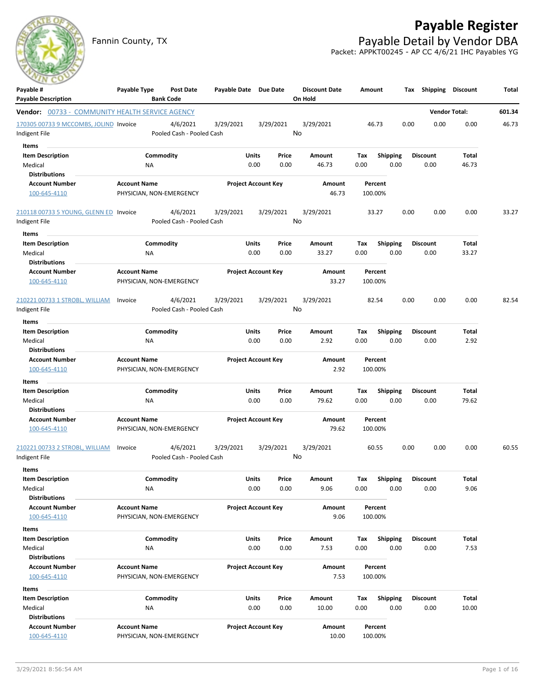# **Payable Register**

Fannin County, TX **Payable Detail by Vendor DBA** Packet: APPKT00245 - AP CC 4/6/21 IHC Payables YG



| Payable #                                               | Payable Type        | Post Date                             | Payable Date Due Date |                            | <b>Discount Date</b> | Amount             |                 | Tax  |                 | <b>Shipping Discount</b> | Total  |
|---------------------------------------------------------|---------------------|---------------------------------------|-----------------------|----------------------------|----------------------|--------------------|-----------------|------|-----------------|--------------------------|--------|
| <b>Payable Description</b>                              |                     | <b>Bank Code</b>                      |                       |                            | On Hold              |                    |                 |      |                 |                          |        |
| <b>Vendor:</b> 00733 - COMMUNITY HEALTH SERVICE AGENCY  |                     |                                       |                       |                            |                      |                    |                 |      |                 | <b>Vendor Total:</b>     | 601.34 |
| 170305 00733 9 MCCOMBS, JOLIND Invoice<br>Indigent File |                     | 4/6/2021<br>Pooled Cash - Pooled Cash | 3/29/2021             | 3/29/2021                  | 3/29/2021<br>No      | 46.73              |                 | 0.00 | 0.00            | 0.00                     | 46.73  |
| Items                                                   |                     |                                       |                       |                            |                      |                    |                 |      |                 |                          |        |
| <b>Item Description</b>                                 |                     | Commodity                             |                       | Units<br>Price             | Amount               | Tax                | <b>Shipping</b> |      | <b>Discount</b> | Total                    |        |
| Medical                                                 | NA                  |                                       |                       | 0.00<br>0.00               | 46.73                | 0.00               | 0.00            |      | 0.00            | 46.73                    |        |
| <b>Distributions</b>                                    |                     |                                       |                       |                            |                      |                    |                 |      |                 |                          |        |
| <b>Account Number</b>                                   | <b>Account Name</b> |                                       |                       | <b>Project Account Key</b> | Amount               | Percent            |                 |      |                 |                          |        |
| 100-645-4110                                            |                     | PHYSICIAN, NON-EMERGENCY              |                       |                            | 46.73                | 100.00%            |                 |      |                 |                          |        |
| 210118 00733 5 YOUNG, GLENN ED Invoice                  |                     | 4/6/2021                              | 3/29/2021             | 3/29/2021                  | 3/29/2021            | 33.27              |                 | 0.00 | 0.00            | 0.00                     | 33.27  |
| Indigent File                                           |                     | Pooled Cash - Pooled Cash             |                       |                            | No                   |                    |                 |      |                 |                          |        |
| Items                                                   |                     |                                       |                       |                            |                      |                    |                 |      |                 |                          |        |
| <b>Item Description</b>                                 |                     | Commodity                             |                       | <b>Units</b><br>Price      | Amount               | Тах                | <b>Shipping</b> |      | <b>Discount</b> | Total                    |        |
| Medical                                                 | ΝA                  |                                       |                       | 0.00<br>0.00               | 33.27                | 0.00               | 0.00            |      | 0.00            | 33.27                    |        |
| <b>Distributions</b>                                    |                     |                                       |                       |                            |                      |                    |                 |      |                 |                          |        |
| <b>Account Number</b>                                   | <b>Account Name</b> |                                       |                       | <b>Project Account Key</b> | <b>Amount</b>        | Percent            |                 |      |                 |                          |        |
| 100-645-4110                                            |                     | PHYSICIAN, NON-EMERGENCY              |                       |                            | 33.27                | 100.00%            |                 |      |                 |                          |        |
| 210221 00733 1 STROBL, WILLIAM                          | Invoice             | 4/6/2021                              | 3/29/2021             | 3/29/2021                  | 3/29/2021            | 82.54              |                 | 0.00 | 0.00            | 0.00                     | 82.54  |
| Indigent File                                           |                     | Pooled Cash - Pooled Cash             |                       |                            | No                   |                    |                 |      |                 |                          |        |
| Items                                                   |                     |                                       |                       |                            |                      |                    |                 |      |                 |                          |        |
| <b>Item Description</b>                                 |                     | Commodity                             |                       | Units<br>Price             | Amount               | Tax                | Shipping        |      | <b>Discount</b> | Total                    |        |
| Medical                                                 | NA                  |                                       |                       | 0.00<br>0.00               | 2.92                 | 0.00               | 0.00            |      | 0.00            | 2.92                     |        |
| <b>Distributions</b>                                    |                     |                                       |                       |                            |                      |                    |                 |      |                 |                          |        |
| <b>Account Number</b>                                   | <b>Account Name</b> |                                       |                       | <b>Project Account Key</b> | Amount               | Percent            |                 |      |                 |                          |        |
| 100-645-4110                                            |                     | PHYSICIAN, NON-EMERGENCY              |                       |                            | 2.92                 | 100.00%            |                 |      |                 |                          |        |
|                                                         |                     |                                       |                       |                            |                      |                    |                 |      |                 |                          |        |
| Items                                                   |                     |                                       |                       |                            |                      |                    |                 |      |                 |                          |        |
| <b>Item Description</b>                                 |                     | Commodity                             |                       | Units<br>Price             | Amount               | Tax                | <b>Shipping</b> |      | <b>Discount</b> | Total                    |        |
| Medical<br><b>Distributions</b>                         | NA                  |                                       |                       | 0.00<br>0.00               | 79.62                | 0.00               | 0.00            |      | 0.00            | 79.62                    |        |
|                                                         |                     |                                       |                       |                            |                      |                    |                 |      |                 |                          |        |
| <b>Account Number</b><br>100-645-4110                   | <b>Account Name</b> | PHYSICIAN, NON-EMERGENCY              |                       | <b>Project Account Key</b> | Amount<br>79.62      | Percent<br>100.00% |                 |      |                 |                          |        |
| 210221 00733 2 STROBL, WILLIAM                          | Invoice             | 4/6/2021                              | 3/29/2021             | 3/29/2021                  | 3/29/2021            | 60.55              |                 | 0.00 | 0.00            | 0.00                     | 60.55  |
| Indigent File                                           |                     | Pooled Cash - Pooled Cash             |                       |                            | No                   |                    |                 |      |                 |                          |        |
| Items                                                   |                     |                                       |                       |                            |                      |                    |                 |      |                 |                          |        |
| <b>Item Description</b>                                 |                     | Commodity                             |                       | Units<br>Price             | Amount               | Tax                | Shipping        |      | Discount        | Total                    |        |
| Medical                                                 | NA                  |                                       |                       | 0.00<br>0.00               | 9.06                 | 0.00               | 0.00            |      | 0.00            | 9.06                     |        |
| <b>Distributions</b>                                    |                     |                                       |                       |                            |                      |                    |                 |      |                 |                          |        |
| <b>Account Number</b>                                   | <b>Account Name</b> |                                       |                       | <b>Project Account Key</b> | Amount               | Percent            |                 |      |                 |                          |        |
| 100-645-4110                                            |                     | PHYSICIAN, NON-EMERGENCY              |                       |                            | 9.06                 | 100.00%            |                 |      |                 |                          |        |
| Items                                                   |                     |                                       |                       |                            |                      |                    |                 |      |                 |                          |        |
| <b>Item Description</b>                                 |                     | Commodity                             |                       | Units<br>Price             | Amount               | Tax                | <b>Shipping</b> |      | <b>Discount</b> | Total                    |        |
| Medical                                                 | NA                  |                                       |                       | 0.00<br>0.00               | 7.53                 | 0.00               | 0.00            |      | 0.00            | 7.53                     |        |
| <b>Distributions</b>                                    |                     |                                       |                       |                            |                      |                    |                 |      |                 |                          |        |
| <b>Account Number</b>                                   | <b>Account Name</b> |                                       |                       | <b>Project Account Key</b> | Amount               | Percent            |                 |      |                 |                          |        |
| 100-645-4110                                            |                     | PHYSICIAN, NON-EMERGENCY              |                       |                            | 7.53                 | 100.00%            |                 |      |                 |                          |        |
| Items                                                   |                     |                                       |                       |                            |                      |                    |                 |      |                 |                          |        |
| <b>Item Description</b>                                 |                     | Commodity                             |                       | Units<br>Price             | Amount               | Тах                | <b>Shipping</b> |      | <b>Discount</b> | Total                    |        |
| Medical                                                 | NA                  |                                       |                       | 0.00<br>0.00               | 10.00                | 0.00               | 0.00            |      | 0.00            | 10.00                    |        |
| <b>Distributions</b>                                    |                     |                                       |                       |                            |                      |                    |                 |      |                 |                          |        |
| <b>Account Number</b>                                   | <b>Account Name</b> |                                       |                       | <b>Project Account Key</b> | Amount               | Percent            |                 |      |                 |                          |        |
| 100-645-4110                                            |                     | PHYSICIAN, NON-EMERGENCY              |                       |                            | 10.00                | 100.00%            |                 |      |                 |                          |        |
|                                                         |                     |                                       |                       |                            |                      |                    |                 |      |                 |                          |        |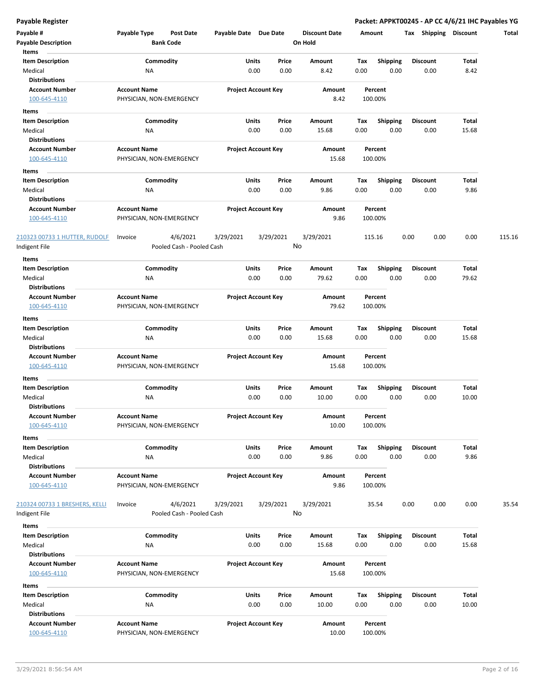**Payable Register Packet: APPKT00245 - AP CC 4/6/21 IHC Payables YG**

| Payable #                                      | Payable Type                                    | <b>Post Date</b>                      | Payable Date Due Date |                            | <b>Discount Date</b> | Amount |                    | <b>Shipping</b><br>Tax | <b>Discount</b> | Total  |
|------------------------------------------------|-------------------------------------------------|---------------------------------------|-----------------------|----------------------------|----------------------|--------|--------------------|------------------------|-----------------|--------|
| <b>Payable Description</b>                     |                                                 | <b>Bank Code</b>                      |                       |                            | On Hold              |        |                    |                        |                 |        |
| Items                                          |                                                 |                                       |                       |                            |                      |        |                    |                        |                 |        |
| <b>Item Description</b>                        |                                                 | Commodity                             | Units                 | Price                      | Amount               | Tax    | <b>Shipping</b>    | <b>Discount</b>        | Total           |        |
| Medical                                        | ΝA                                              |                                       |                       | 0.00<br>0.00               | 8.42                 | 0.00   | 0.00               | 0.00                   | 8.42            |        |
| <b>Distributions</b>                           |                                                 |                                       |                       |                            |                      |        |                    |                        |                 |        |
| <b>Account Number</b><br>100-645-4110          | <b>Account Name</b><br>PHYSICIAN, NON-EMERGENCY |                                       |                       | <b>Project Account Key</b> | Amount<br>8.42       |        | Percent<br>100.00% |                        |                 |        |
| Items                                          |                                                 |                                       |                       |                            |                      |        |                    |                        |                 |        |
| <b>Item Description</b>                        |                                                 | Commodity                             | Units                 | Price                      | Amount               | Тах    | Shipping           | <b>Discount</b>        | Total           |        |
| Medical                                        | ΝA                                              |                                       |                       | 0.00<br>0.00               | 15.68                | 0.00   | 0.00               | 0.00                   | 15.68           |        |
| <b>Distributions</b>                           |                                                 |                                       |                       |                            |                      |        |                    |                        |                 |        |
| <b>Account Number</b>                          | <b>Account Name</b>                             |                                       |                       | <b>Project Account Key</b> | Amount               |        | Percent            |                        |                 |        |
| 100-645-4110                                   | PHYSICIAN, NON-EMERGENCY                        |                                       |                       |                            | 15.68                |        | 100.00%            |                        |                 |        |
| Items                                          |                                                 |                                       |                       |                            |                      |        |                    |                        |                 |        |
| <b>Item Description</b>                        |                                                 | Commodity                             | <b>Units</b>          | Price                      | Amount               | Tax    | <b>Shipping</b>    | <b>Discount</b>        | Total           |        |
| Medical                                        | ΝA                                              |                                       |                       | 0.00<br>0.00               | 9.86                 | 0.00   | 0.00               | 0.00                   | 9.86            |        |
| <b>Distributions</b>                           |                                                 |                                       |                       |                            |                      |        |                    |                        |                 |        |
| <b>Account Number</b>                          | <b>Account Name</b>                             |                                       |                       | <b>Project Account Key</b> | Amount               |        | Percent            |                        |                 |        |
| 100-645-4110                                   | PHYSICIAN, NON-EMERGENCY                        |                                       |                       |                            | 9.86                 |        | 100.00%            |                        |                 |        |
|                                                | Invoice                                         | 4/6/2021                              | 3/29/2021             |                            | 3/29/2021            |        |                    | 0.00<br>0.00           | 0.00            | 115.16 |
| 210323 00733 1 HUTTER, RUDOLF<br>Indigent File |                                                 | Pooled Cash - Pooled Cash             |                       | 3/29/2021                  | No                   |        | 115.16             |                        |                 |        |
|                                                |                                                 |                                       |                       |                            |                      |        |                    |                        |                 |        |
| Items                                          |                                                 |                                       |                       |                            |                      |        |                    |                        |                 |        |
| <b>Item Description</b>                        |                                                 | Commodity                             | Units                 | Price                      | Amount               | Tax    | <b>Shipping</b>    | <b>Discount</b>        | Total           |        |
| Medical                                        | ΝA                                              |                                       |                       | 0.00<br>0.00               | 79.62                | 0.00   | 0.00               | 0.00                   | 79.62           |        |
| <b>Distributions</b>                           |                                                 |                                       |                       |                            | Amount               |        |                    |                        |                 |        |
| <b>Account Number</b><br>100-645-4110          | <b>Account Name</b><br>PHYSICIAN, NON-EMERGENCY |                                       |                       | <b>Project Account Key</b> | 79.62                |        | Percent<br>100.00% |                        |                 |        |
|                                                |                                                 |                                       |                       |                            |                      |        |                    |                        |                 |        |
| Items                                          |                                                 |                                       |                       |                            |                      |        |                    |                        |                 |        |
| <b>Item Description</b>                        |                                                 | Commodity                             | Units                 | Price                      | Amount               | Tax    | <b>Shipping</b>    | <b>Discount</b>        | Total           |        |
| Medical                                        | ΝA                                              |                                       |                       | 0.00<br>0.00               | 15.68                | 0.00   | 0.00               | 0.00                   | 15.68           |        |
| <b>Distributions</b>                           |                                                 |                                       |                       |                            |                      |        |                    |                        |                 |        |
| <b>Account Number</b>                          | <b>Account Name</b>                             |                                       |                       | <b>Project Account Key</b> | Amount               |        | Percent            |                        |                 |        |
| 100-645-4110                                   | PHYSICIAN, NON-EMERGENCY                        |                                       |                       |                            | 15.68                |        | 100.00%            |                        |                 |        |
| Items                                          |                                                 |                                       |                       |                            |                      |        |                    |                        |                 |        |
| <b>Item Description</b>                        |                                                 | Commodity                             | Units                 | Price                      | Amount               | Tax    | <b>Shipping</b>    | Discount               | Total           |        |
| Medical                                        | NA                                              |                                       |                       | 0.00<br>0.00               | 10.00                | 0.00   | 0.00               | 0.00                   | 10.00           |        |
| <b>Distributions</b>                           |                                                 |                                       |                       |                            |                      |        |                    |                        |                 |        |
| Account Number                                 | <b>Account Name</b>                             |                                       |                       | <b>Project Account Key</b> | Amount               |        | Percent            |                        |                 |        |
| 100-645-4110                                   | PHYSICIAN, NON-EMERGENCY                        |                                       |                       |                            | 10.00                |        | 100.00%            |                        |                 |        |
| Items                                          |                                                 |                                       |                       |                            |                      |        |                    |                        |                 |        |
| <b>Item Description</b>                        |                                                 | Commodity                             | Units                 | Price                      | Amount               | Tax    | <b>Shipping</b>    | <b>Discount</b>        | Total           |        |
| Medical                                        | NA                                              |                                       |                       | 0.00<br>0.00               | 9.86                 | 0.00   | 0.00               | 0.00                   | 9.86            |        |
| <b>Distributions</b>                           |                                                 |                                       |                       |                            |                      |        |                    |                        |                 |        |
| <b>Account Number</b>                          | <b>Account Name</b>                             |                                       |                       | <b>Project Account Key</b> | Amount               |        | Percent            |                        |                 |        |
| 100-645-4110                                   | PHYSICIAN, NON-EMERGENCY                        |                                       |                       |                            | 9.86                 |        | 100.00%            |                        |                 |        |
|                                                |                                                 |                                       |                       |                            |                      |        |                    |                        |                 |        |
| 210324 00733 1 BRESHERS, KELLI                 | Invoice                                         | 4/6/2021<br>Pooled Cash - Pooled Cash | 3/29/2021             | 3/29/2021                  | 3/29/2021<br>No      |        | 35.54              | 0.00<br>0.00           | 0.00            | 35.54  |
| Indigent File                                  |                                                 |                                       |                       |                            |                      |        |                    |                        |                 |        |
| Items                                          |                                                 |                                       |                       |                            |                      |        |                    |                        |                 |        |
| <b>Item Description</b>                        |                                                 | Commodity                             | Units                 | Price                      | Amount               | Тах    | <b>Shipping</b>    | <b>Discount</b>        | Total           |        |
| Medical                                        | NA                                              |                                       |                       | 0.00<br>0.00               | 15.68                | 0.00   | 0.00               | 0.00                   | 15.68           |        |
| <b>Distributions</b>                           |                                                 |                                       |                       |                            |                      |        |                    |                        |                 |        |
| <b>Account Number</b>                          | <b>Account Name</b>                             |                                       |                       | <b>Project Account Key</b> | Amount               |        | Percent            |                        |                 |        |
| 100-645-4110                                   | PHYSICIAN, NON-EMERGENCY                        |                                       |                       |                            | 15.68                |        | 100.00%            |                        |                 |        |
| Items                                          |                                                 |                                       |                       |                            |                      |        |                    |                        |                 |        |
| <b>Item Description</b>                        |                                                 | Commodity                             | Units                 | Price                      | Amount               | Tax    | <b>Shipping</b>    | <b>Discount</b>        | Total           |        |
| Medical                                        | NA                                              |                                       |                       | 0.00<br>0.00               | 10.00                | 0.00   | 0.00               | 0.00                   | 10.00           |        |
| <b>Distributions</b>                           |                                                 |                                       |                       |                            |                      |        |                    |                        |                 |        |
| <b>Account Number</b>                          | <b>Account Name</b>                             |                                       |                       | <b>Project Account Key</b> | Amount               |        | Percent            |                        |                 |        |
| 100-645-4110                                   | PHYSICIAN, NON-EMERGENCY                        |                                       |                       |                            | 10.00                |        | 100.00%            |                        |                 |        |
|                                                |                                                 |                                       |                       |                            |                      |        |                    |                        |                 |        |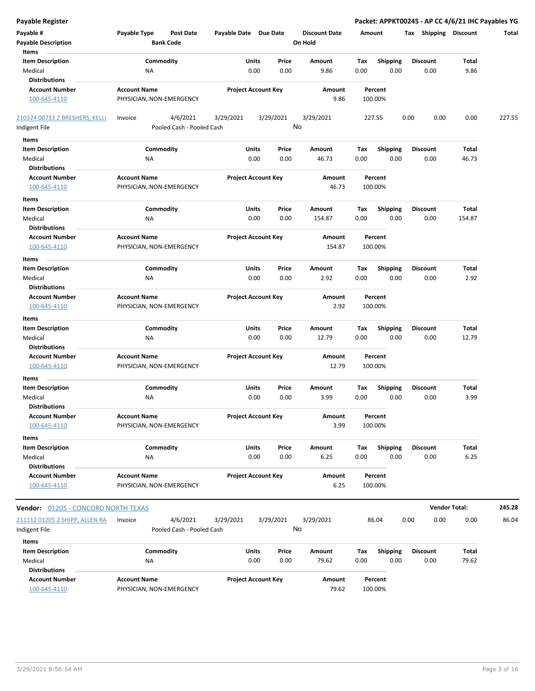| <b>Payable Register</b>                    |                                                      |                       |                            |                                 |         |                 | Packet: APPKT00245 - AP CC 4/6/21 IHC Payables YG |                      |        |
|--------------------------------------------|------------------------------------------------------|-----------------------|----------------------------|---------------------------------|---------|-----------------|---------------------------------------------------|----------------------|--------|
| Payable #<br><b>Payable Description</b>    | Payable Type<br><b>Post Date</b><br><b>Bank Code</b> | Payable Date Due Date |                            | <b>Discount Date</b><br>On Hold | Amount  |                 | Tax Shipping Discount                             |                      | Total  |
| Items                                      |                                                      |                       |                            |                                 |         |                 |                                                   |                      |        |
| <b>Item Description</b>                    | Commodity                                            | Units                 | Price                      | Amount                          | Tax     | <b>Shipping</b> | <b>Discount</b>                                   | <b>Total</b>         |        |
| Medical                                    | NA                                                   |                       | 0.00<br>0.00               | 9.86                            | 0.00    | 0.00            | 0.00                                              | 9.86                 |        |
| <b>Distributions</b>                       |                                                      |                       |                            |                                 |         |                 |                                                   |                      |        |
| <b>Account Number</b><br>100-645-4110      | <b>Account Name</b><br>PHYSICIAN, NON-EMERGENCY      |                       | <b>Project Account Key</b> | Amount<br>9.86                  | 100.00% | Percent         |                                                   |                      |        |
| 210324 00733 2 BRESHERS, KELLI             | 4/6/2021<br>Invoice                                  | 3/29/2021             | 3/29/2021                  | 3/29/2021                       | 227.55  |                 | 0.00<br>0.00                                      | 0.00                 | 227.55 |
| Indigent File                              | Pooled Cash - Pooled Cash                            |                       |                            | No                              |         |                 |                                                   |                      |        |
| Items                                      |                                                      |                       |                            |                                 |         |                 |                                                   |                      |        |
| <b>Item Description</b>                    | Commodity                                            | Units                 | Price                      | Amount                          | Tax     | <b>Shipping</b> | <b>Discount</b>                                   | Total                |        |
| Medical                                    | ΝA                                                   |                       | 0.00<br>0.00               | 46.73                           | 0.00    | 0.00            | 0.00                                              | 46.73                |        |
| <b>Distributions</b>                       |                                                      |                       |                            |                                 |         |                 |                                                   |                      |        |
| <b>Account Number</b><br>100-645-4110      | <b>Account Name</b><br>PHYSICIAN, NON-EMERGENCY      |                       | <b>Project Account Key</b> | Amount<br>46.73                 | 100.00% | Percent         |                                                   |                      |        |
| Items                                      |                                                      |                       |                            |                                 |         |                 |                                                   |                      |        |
| <b>Item Description</b>                    | Commodity                                            | Units                 | Price                      | Amount                          | Tax     | <b>Shipping</b> | <b>Discount</b>                                   | Total                |        |
| Medical<br><b>Distributions</b>            | ΝA                                                   |                       | 0.00<br>0.00               | 154.87                          | 0.00    | 0.00            | 0.00                                              | 154.87               |        |
| <b>Account Number</b><br>100-645-4110      | <b>Account Name</b><br>PHYSICIAN, NON-EMERGENCY      |                       | <b>Project Account Key</b> | Amount<br>154.87                | 100.00% | Percent         |                                                   |                      |        |
| Items                                      |                                                      |                       |                            |                                 |         |                 |                                                   |                      |        |
| <b>Item Description</b>                    | Commodity                                            | Units                 | Price                      | Amount                          | Tax     | <b>Shipping</b> | <b>Discount</b>                                   | Total                |        |
| Medical<br><b>Distributions</b>            | ΝA                                                   |                       | 0.00<br>0.00               | 2.92                            | 0.00    | 0.00            | 0.00                                              | 2.92                 |        |
| <b>Account Number</b><br>100-645-4110      | <b>Account Name</b><br>PHYSICIAN, NON-EMERGENCY      |                       | <b>Project Account Key</b> | Amount<br>2.92                  | 100.00% | Percent         |                                                   |                      |        |
| Items                                      |                                                      |                       |                            |                                 |         |                 |                                                   |                      |        |
| <b>Item Description</b>                    | Commodity                                            | Units                 | Price                      | Amount                          | Tax     | <b>Shipping</b> | <b>Discount</b>                                   | Total                |        |
| Medical                                    | NA                                                   |                       | 0.00<br>0.00               | 12.79                           | 0.00    | 0.00            | 0.00                                              | 12.79                |        |
| <b>Distributions</b>                       |                                                      |                       |                            |                                 |         |                 |                                                   |                      |        |
| <b>Account Number</b>                      | <b>Account Name</b>                                  |                       | <b>Project Account Key</b> | Amount                          |         | Percent         |                                                   |                      |        |
| 100-645-4110                               | PHYSICIAN, NON-EMERGENCY                             |                       |                            | 12.79                           | 100.00% |                 |                                                   |                      |        |
| Items                                      |                                                      |                       |                            |                                 |         |                 |                                                   |                      |        |
| <b>Item Description</b>                    | Commodity                                            | Units                 | Price                      | Amount                          | Tax     | <b>Shipping</b> | <b>Discount</b>                                   | Total                |        |
| Medical                                    | NA                                                   |                       | 0.00<br>0.00               | 3.99                            | 0.00    | 0.00            | 0.00                                              | 3.99                 |        |
| <b>Distributions</b>                       |                                                      |                       |                            |                                 |         |                 |                                                   |                      |        |
| <b>Account Number</b>                      | <b>Account Name</b>                                  |                       | <b>Project Account Key</b> | Amount                          |         | Percent         |                                                   |                      |        |
| 100-645-4110                               | PHYSICIAN, NON-EMERGENCY                             |                       |                            | 3.99                            | 100.00% |                 |                                                   |                      |        |
| Items                                      |                                                      |                       |                            |                                 |         |                 |                                                   |                      |        |
| <b>Item Description</b>                    | Commodity                                            |                       | Units<br>Price             | Amount                          | Tax     | <b>Shipping</b> | <b>Discount</b>                                   | Total                |        |
| Medical                                    | ΝA                                                   |                       | 0.00<br>0.00               | 6.25                            | 0.00    | 0.00            | 0.00                                              | 6.25                 |        |
| <b>Distributions</b>                       |                                                      |                       |                            |                                 |         |                 |                                                   |                      |        |
| <b>Account Number</b><br>100-645-4110      | <b>Account Name</b><br>PHYSICIAN, NON-EMERGENCY      |                       | <b>Project Account Key</b> | Amount<br>6.25                  | 100.00% | Percent         |                                                   |                      |        |
| <b>Vendor: 01205 - CONCORD NORTH TEXAS</b> |                                                      |                       |                            |                                 |         |                 |                                                   | <b>Vendor Total:</b> | 245.28 |
| 211112 01205 2 SHIPP, ALLEN RA             | 4/6/2021<br>Invoice                                  | 3/29/2021             | 3/29/2021                  | 3/29/2021                       |         | 86.04           | 0.00<br>0.00                                      | 0.00                 | 86.04  |
| Indigent File                              | Pooled Cash - Pooled Cash                            |                       |                            | No                              |         |                 |                                                   |                      |        |
| Items                                      |                                                      |                       |                            |                                 |         |                 |                                                   |                      |        |
| <b>Item Description</b>                    | Commodity                                            |                       | Units<br>Price             | Amount                          | Tax     | Shipping        | <b>Discount</b>                                   | <b>Total</b>         |        |
| Medical                                    | NA                                                   |                       | 0.00<br>0.00               | 79.62                           | 0.00    | 0.00            | 0.00                                              | 79.62                |        |
| <b>Distributions</b>                       |                                                      |                       |                            |                                 |         |                 |                                                   |                      |        |
| <b>Account Number</b>                      | <b>Account Name</b>                                  |                       | <b>Project Account Key</b> | Amount                          |         | Percent         |                                                   |                      |        |
| 100-645-4110                               | PHYSICIAN, NON-EMERGENCY                             |                       |                            | 79.62                           |         | 100.00%         |                                                   |                      |        |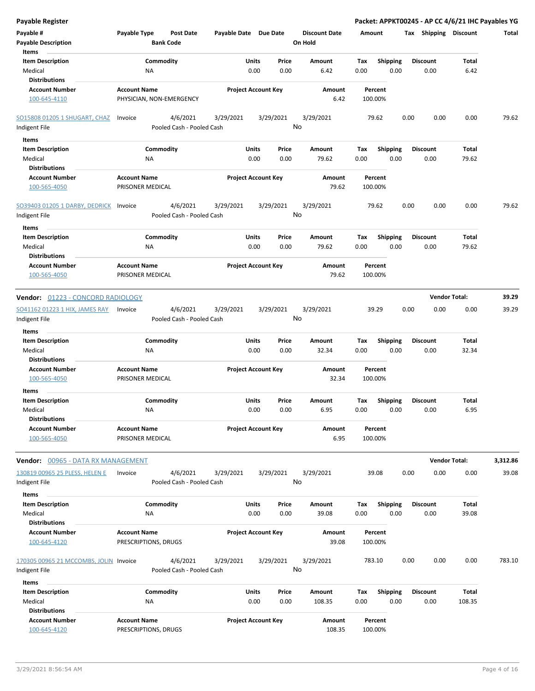| <b>Payable Register</b>                                    |                                         |                                       |                       |                                |                                 |                    |                         |      |                         | Packet: APPKT00245 - AP CC 4/6/21 IHC Payables YG |          |
|------------------------------------------------------------|-----------------------------------------|---------------------------------------|-----------------------|--------------------------------|---------------------------------|--------------------|-------------------------|------|-------------------------|---------------------------------------------------|----------|
| Payable #<br><b>Payable Description</b>                    | Payable Type                            | <b>Post Date</b><br><b>Bank Code</b>  | Payable Date Due Date |                                | <b>Discount Date</b><br>On Hold | Amount             |                         |      | Tax Shipping Discount   |                                                   | Total    |
| Items<br><b>Item Description</b><br>Medical                | Commodity<br><b>NA</b>                  |                                       |                       | Units<br>Price<br>0.00<br>0.00 | <b>Amount</b><br>6.42           | Tax<br>0.00        | <b>Shipping</b><br>0.00 |      | <b>Discount</b><br>0.00 | Total<br>6.42                                     |          |
| <b>Distributions</b><br><b>Account Number</b>              | <b>Account Name</b>                     |                                       |                       | <b>Project Account Key</b>     | Amount                          | Percent            |                         |      |                         |                                                   |          |
| 100-645-4110                                               | PHYSICIAN, NON-EMERGENCY                |                                       |                       |                                | 6.42                            | 100.00%            |                         |      |                         |                                                   |          |
| SO15808 01205 1 SHUGART, CHAZ                              | Invoice                                 | 4/6/2021                              | 3/29/2021             | 3/29/2021                      | 3/29/2021                       | 79.62              |                         | 0.00 | 0.00                    | 0.00                                              | 79.62    |
| Indigent File                                              |                                         | Pooled Cash - Pooled Cash             |                       |                                | No                              |                    |                         |      |                         |                                                   |          |
| Items                                                      |                                         |                                       |                       |                                |                                 |                    |                         |      |                         |                                                   |          |
| <b>Item Description</b>                                    | Commodity                               |                                       |                       | Units<br>Price                 | Amount                          | Tax                | <b>Shipping</b>         |      | <b>Discount</b>         | Total                                             |          |
| Medical<br><b>Distributions</b>                            | ΝA                                      |                                       |                       | 0.00<br>0.00                   | 79.62                           | 0.00               | 0.00                    |      | 0.00                    | 79.62                                             |          |
| <b>Account Number</b>                                      | <b>Account Name</b>                     |                                       |                       | <b>Project Account Key</b>     | Amount                          | Percent            |                         |      |                         |                                                   |          |
| 100-565-4050                                               | PRISONER MEDICAL                        |                                       |                       |                                | 79.62                           | 100.00%            |                         |      |                         |                                                   |          |
| SO39403 01205 1 DARBY, DEDRICK                             | Invoice                                 | 4/6/2021                              | 3/29/2021             | 3/29/2021                      | 3/29/2021                       | 79.62              |                         | 0.00 | 0.00                    | 0.00                                              | 79.62    |
| Indigent File                                              |                                         | Pooled Cash - Pooled Cash             |                       |                                | No                              |                    |                         |      |                         |                                                   |          |
| Items                                                      |                                         |                                       |                       |                                |                                 |                    |                         |      |                         |                                                   |          |
| <b>Item Description</b>                                    | Commodity                               |                                       |                       | Units<br>Price                 | Amount                          | Tax                | <b>Shipping</b>         |      | <b>Discount</b>         | Total                                             |          |
| Medical                                                    | <b>NA</b>                               |                                       |                       | 0.00<br>0.00                   | 79.62                           | 0.00               | 0.00                    |      | 0.00                    | 79.62                                             |          |
| <b>Distributions</b>                                       |                                         |                                       |                       |                                |                                 |                    |                         |      |                         |                                                   |          |
| <b>Account Number</b><br>100-565-4050                      | <b>Account Name</b><br>PRISONER MEDICAL |                                       |                       | <b>Project Account Key</b>     | Amount<br>79.62                 | Percent<br>100.00% |                         |      |                         |                                                   |          |
| Vendor: 01223 - CONCORD RADIOLOGY                          |                                         |                                       |                       |                                |                                 |                    |                         |      |                         | <b>Vendor Total:</b>                              | 39.29    |
| SO41162 01223 1 HIX, JAMES RAY                             | Invoice                                 | 4/6/2021                              | 3/29/2021             | 3/29/2021                      | 3/29/2021                       | 39.29              |                         | 0.00 | 0.00                    | 0.00                                              | 39.29    |
| Indigent File                                              |                                         | Pooled Cash - Pooled Cash             |                       |                                | No                              |                    |                         |      |                         |                                                   |          |
| Items                                                      |                                         |                                       |                       |                                |                                 |                    |                         |      |                         |                                                   |          |
| <b>Item Description</b><br>Medical<br><b>Distributions</b> | Commodity<br><b>NA</b>                  |                                       |                       | Units<br>Price<br>0.00<br>0.00 | Amount<br>32.34                 | Tax<br>0.00        | <b>Shipping</b><br>0.00 |      | <b>Discount</b><br>0.00 | Total<br>32.34                                    |          |
| <b>Account Number</b><br>100-565-4050                      | <b>Account Name</b><br>PRISONER MEDICAL |                                       |                       | <b>Project Account Key</b>     | Amount<br>32.34                 | Percent<br>100.00% |                         |      |                         |                                                   |          |
| Items                                                      |                                         |                                       |                       |                                |                                 |                    |                         |      |                         |                                                   |          |
| <b>Item Description</b><br>Medical<br><b>Distributions</b> | Commodity<br>ΝA                         |                                       |                       | Units<br>Price<br>0.00<br>0.00 | Amount<br>6.95                  | Тах<br>0.00        | <b>Shipping</b><br>0.00 |      | <b>Discount</b><br>0.00 | Total<br>6.95                                     |          |
| <b>Account Number</b>                                      | <b>Account Name</b>                     |                                       |                       | <b>Project Account Key</b>     | Amount                          | Percent            |                         |      |                         |                                                   |          |
| 100-565-4050                                               | PRISONER MEDICAL                        |                                       |                       |                                | 6.95                            | 100.00%            |                         |      |                         |                                                   |          |
| Vendor: 00965 - DATA RX MANAGEMENT                         |                                         |                                       |                       |                                |                                 |                    |                         |      |                         | <b>Vendor Total:</b>                              | 3,312.86 |
| 130819 00965 25 PLESS, HELEN E<br>Indigent File            | Invoice                                 | 4/6/2021<br>Pooled Cash - Pooled Cash | 3/29/2021             | 3/29/2021                      | 3/29/2021<br>No                 | 39.08              |                         | 0.00 | 0.00                    | 0.00                                              | 39.08    |
| Items                                                      |                                         |                                       |                       |                                |                                 |                    |                         |      |                         |                                                   |          |
| <b>Item Description</b>                                    | Commodity                               |                                       |                       | Units<br>Price                 | Amount                          | Tax                | <b>Shipping</b>         |      | <b>Discount</b>         | Total                                             |          |
| Medical                                                    | <b>NA</b>                               |                                       |                       | 0.00<br>0.00                   | 39.08                           | 0.00               | 0.00                    |      | 0.00                    | 39.08                                             |          |
| <b>Distributions</b>                                       |                                         |                                       |                       |                                |                                 |                    |                         |      |                         |                                                   |          |
| <b>Account Number</b>                                      | <b>Account Name</b>                     |                                       |                       | <b>Project Account Key</b>     | Amount                          | Percent            |                         |      |                         |                                                   |          |
| 100-645-4120                                               | PRESCRIPTIONS, DRUGS                    |                                       |                       |                                | 39.08                           | 100.00%            |                         |      |                         |                                                   |          |
| 170305 00965 21 MCCOMBS, JOLIN Invoice                     |                                         | 4/6/2021                              | 3/29/2021             | 3/29/2021                      | 3/29/2021                       | 783.10             |                         | 0.00 | 0.00                    | 0.00                                              | 783.10   |
| Indigent File                                              |                                         | Pooled Cash - Pooled Cash             |                       |                                | No                              |                    |                         |      |                         |                                                   |          |
| Items                                                      |                                         |                                       |                       |                                |                                 |                    |                         |      |                         |                                                   |          |
| <b>Item Description</b>                                    | Commodity                               |                                       |                       | Units<br>Price                 | Amount                          | Tax                | <b>Shipping</b>         |      | <b>Discount</b>         | Total                                             |          |
| Medical<br><b>Distributions</b>                            | <b>NA</b>                               |                                       |                       | 0.00<br>0.00                   | 108.35                          | 0.00               | 0.00                    |      | 0.00                    | 108.35                                            |          |
| <b>Account Number</b>                                      | <b>Account Name</b>                     |                                       |                       | <b>Project Account Key</b>     | Amount                          | Percent            |                         |      |                         |                                                   |          |
| 100-645-4120                                               | PRESCRIPTIONS, DRUGS                    |                                       |                       |                                | 108.35                          | 100.00%            |                         |      |                         |                                                   |          |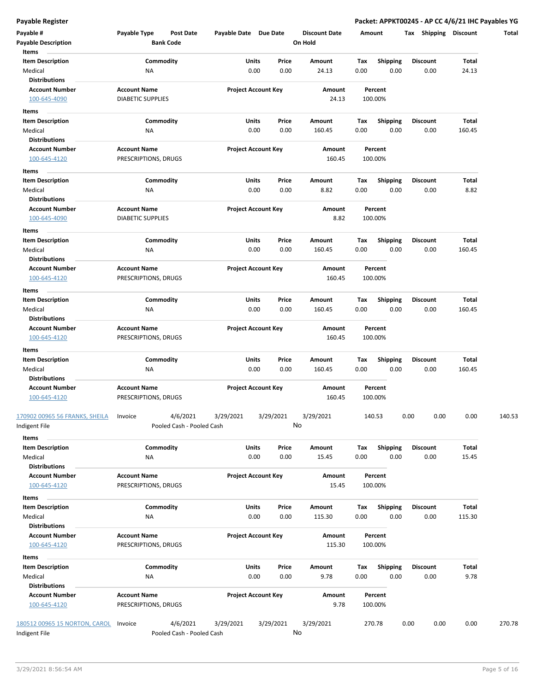**Payable Register Packet: APPKT00245 - AP CC 4/6/21 IHC Payables YG**

| Payable #<br><b>Payable Description</b>         | Payable Type                                    | Post Date<br><b>Bank Code</b>         | Payable Date Due Date |                                | <b>Discount Date</b><br>On Hold | Amount             |                         | <b>Shipping Discount</b><br>Tax |                 | Total  |
|-------------------------------------------------|-------------------------------------------------|---------------------------------------|-----------------------|--------------------------------|---------------------------------|--------------------|-------------------------|---------------------------------|-----------------|--------|
| Items                                           |                                                 |                                       |                       |                                |                                 |                    |                         |                                 |                 |        |
| <b>Item Description</b><br>Medical              | ΝA                                              | Commodity                             | Units                 | Price<br>0.00<br>0.00          | Amount<br>24.13                 | Tax<br>0.00        | <b>Shipping</b><br>0.00 | <b>Discount</b><br>0.00         | Total<br>24.13  |        |
| <b>Distributions</b>                            |                                                 |                                       |                       |                                |                                 |                    |                         |                                 |                 |        |
| <b>Account Number</b><br>100-645-4090           | <b>Account Name</b><br><b>DIABETIC SUPPLIES</b> |                                       |                       | <b>Project Account Key</b>     | Amount<br>24.13                 | Percent<br>100.00% |                         |                                 |                 |        |
| Items                                           |                                                 |                                       |                       |                                |                                 |                    |                         |                                 |                 |        |
| <b>Item Description</b>                         |                                                 | Commodity                             |                       | Units<br>Price                 | Amount                          | Tax                | <b>Shipping</b>         | <b>Discount</b>                 | Total           |        |
| Medical<br><b>Distributions</b>                 | ΝA                                              |                                       |                       | 0.00<br>0.00                   | 160.45                          | 0.00               | 0.00                    | 0.00                            | 160.45          |        |
| <b>Account Number</b><br>100-645-4120           | <b>Account Name</b><br>PRESCRIPTIONS, DRUGS     |                                       |                       | <b>Project Account Key</b>     | Amount<br>160.45                | Percent<br>100.00% |                         |                                 |                 |        |
| Items                                           |                                                 |                                       |                       |                                |                                 |                    |                         |                                 |                 |        |
| <b>Item Description</b>                         |                                                 | Commodity                             |                       | Units<br>Price                 | Amount                          | Tax                | <b>Shipping</b>         | <b>Discount</b>                 | Total           |        |
| Medical                                         | ΝA                                              |                                       |                       | 0.00<br>0.00                   | 8.82                            | 0.00               | 0.00                    | 0.00                            | 8.82            |        |
| Distributions<br><b>Account Number</b>          | <b>Account Name</b>                             |                                       |                       | <b>Project Account Key</b>     | Amount                          | Percent            |                         |                                 |                 |        |
| 100-645-4090                                    | <b>DIABETIC SUPPLIES</b>                        |                                       |                       |                                | 8.82                            | 100.00%            |                         |                                 |                 |        |
| Items                                           |                                                 |                                       |                       |                                |                                 |                    |                         |                                 |                 |        |
| <b>Item Description</b><br>Medical              | ΝA                                              | Commodity                             |                       | Units<br>Price<br>0.00<br>0.00 | Amount<br>160.45                | Тах<br>0.00        | <b>Shipping</b><br>0.00 | <b>Discount</b><br>0.00         | Total<br>160.45 |        |
| <b>Distributions</b><br><b>Account Number</b>   | <b>Account Name</b>                             |                                       |                       | <b>Project Account Key</b>     | Amount                          | Percent            |                         |                                 |                 |        |
| 100-645-4120                                    | PRESCRIPTIONS, DRUGS                            |                                       |                       |                                | 160.45                          | 100.00%            |                         |                                 |                 |        |
| Items                                           |                                                 |                                       |                       |                                |                                 |                    |                         |                                 |                 |        |
| Item Description<br>Medical                     | ΝA                                              | Commodity                             | Units                 | Price<br>0.00<br>0.00          | Amount<br>160.45                | Tax<br>0.00        | <b>Shipping</b><br>0.00 | <b>Discount</b><br>0.00         | Total<br>160.45 |        |
| <b>Distributions</b>                            |                                                 |                                       |                       |                                |                                 |                    |                         |                                 |                 |        |
| <b>Account Number</b><br>100-645-4120           | <b>Account Name</b><br>PRESCRIPTIONS, DRUGS     |                                       |                       | <b>Project Account Key</b>     | Amount<br>160.45                | Percent<br>100.00% |                         |                                 |                 |        |
| Items                                           |                                                 |                                       |                       |                                |                                 |                    |                         |                                 |                 |        |
| <b>Item Description</b>                         |                                                 | Commodity                             | Units                 | Price                          | Amount                          | Тах                | <b>Shipping</b>         | <b>Discount</b>                 | Total           |        |
| Medical<br><b>Distributions</b>                 | ΝA                                              |                                       |                       | 0.00<br>0.00                   | 160.45                          | 0.00               | 0.00                    | 0.00                            | 160.45          |        |
| <b>Account Number</b><br>100-645-4120           | <b>Account Name</b><br>PRESCRIPTIONS, DRUGS     |                                       |                       | <b>Project Account Key</b>     | Amount<br>160.45                | Percent<br>100.00% |                         |                                 |                 |        |
| 170902 00965 56 FRANKS, SHEILA<br>Indigent File | Invoice                                         | 4/6/2021<br>Pooled Cash - Pooled Cash | 3/29/2021             | 3/29/2021                      | 3/29/2021<br>No                 | 140.53             |                         | 0.00<br>0.00                    | 0.00            | 140.53 |
|                                                 |                                                 |                                       |                       |                                |                                 |                    |                         |                                 |                 |        |
| Items<br><b>Item Description</b>                |                                                 | Commodity                             |                       | Units<br>Price                 | Amount                          | Tax                | Shipping                | <b>Discount</b>                 | Total           |        |
| Medical<br><b>Distributions</b>                 | NA                                              |                                       |                       | 0.00<br>0.00                   | 15.45                           | 0.00               | 0.00                    | 0.00                            | 15.45           |        |
| <b>Account Number</b><br>100-645-4120           | <b>Account Name</b><br>PRESCRIPTIONS, DRUGS     |                                       |                       | <b>Project Account Key</b>     | Amount<br>15.45                 | Percent<br>100.00% |                         |                                 |                 |        |
| Items                                           |                                                 |                                       |                       |                                |                                 |                    |                         |                                 |                 |        |
| <b>Item Description</b><br>Medical              | NA                                              | Commodity                             |                       | Units<br>Price<br>0.00<br>0.00 | Amount<br>115.30                | Tax<br>0.00        | <b>Shipping</b><br>0.00 | <b>Discount</b><br>0.00         | Total<br>115.30 |        |
| <b>Distributions</b>                            |                                                 |                                       |                       |                                |                                 |                    |                         |                                 |                 |        |
| <b>Account Number</b><br>100-645-4120           | <b>Account Name</b><br>PRESCRIPTIONS, DRUGS     |                                       |                       | <b>Project Account Key</b>     | Amount<br>115.30                | Percent<br>100.00% |                         |                                 |                 |        |
| Items                                           |                                                 |                                       |                       |                                |                                 |                    |                         |                                 |                 |        |
| <b>Item Description</b><br>Medical              | ΝA                                              | Commodity                             |                       | Units<br>Price<br>0.00<br>0.00 | Amount<br>9.78                  | Tax<br>0.00        | <b>Shipping</b><br>0.00 | Discount<br>0.00                | Total<br>9.78   |        |
| <b>Distributions</b>                            |                                                 |                                       |                       |                                |                                 |                    |                         |                                 |                 |        |
| <b>Account Number</b><br>100-645-4120           | <b>Account Name</b><br>PRESCRIPTIONS, DRUGS     |                                       |                       | <b>Project Account Key</b>     | Amount<br>9.78                  | Percent<br>100.00% |                         |                                 |                 |        |
| 180512 00965 15 NORTON, CAROL<br>Indigent File  | Invoice                                         | 4/6/2021<br>Pooled Cash - Pooled Cash | 3/29/2021             | 3/29/2021                      | 3/29/2021<br>No                 | 270.78             |                         | 0.00<br>0.00                    | 0.00            | 270.78 |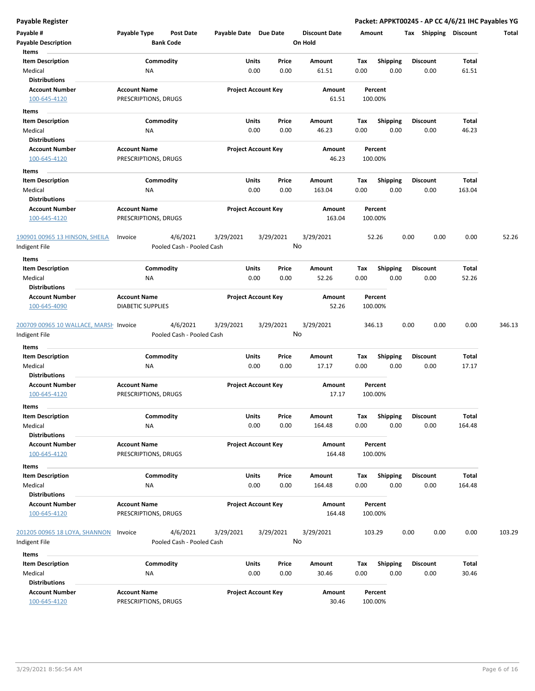**Payable Register Packet: APPKT00245 - AP CC 4/6/21 IHC Payables YG**

| Payable #<br><b>Payable Description</b>                       | Payable Type                                | Post Date<br><b>Bank Code</b>         | Payable Date Due Date |                                | <b>Discount Date</b><br>On Hold |             | Amount                  | Tax<br>Shipping         | <b>Discount</b> | Total  |
|---------------------------------------------------------------|---------------------------------------------|---------------------------------------|-----------------------|--------------------------------|---------------------------------|-------------|-------------------------|-------------------------|-----------------|--------|
| Items<br><b>Item Description</b><br>Medical                   | ΝA                                          | Commodity                             |                       | Units<br>Price<br>0.00<br>0.00 | Amount<br>61.51                 | Tax<br>0.00 | <b>Shipping</b><br>0.00 | <b>Discount</b><br>0.00 | Total<br>61.51  |        |
| <b>Distributions</b><br><b>Account Number</b><br>100-645-4120 | <b>Account Name</b><br>PRESCRIPTIONS, DRUGS |                                       |                       | <b>Project Account Key</b>     | Amount<br>61.51                 |             | Percent<br>100.00%      |                         |                 |        |
| Items                                                         |                                             |                                       |                       |                                |                                 |             |                         |                         |                 |        |
| <b>Item Description</b>                                       |                                             | Commodity                             |                       | Units<br>Price                 | Amount                          | Тах         | <b>Shipping</b>         | <b>Discount</b>         | Total           |        |
| Medical                                                       | ΝA                                          |                                       |                       | 0.00<br>0.00                   | 46.23                           | 0.00        | 0.00                    | 0.00                    | 46.23           |        |
| <b>Distributions</b><br><b>Account Number</b><br>100-645-4120 | <b>Account Name</b><br>PRESCRIPTIONS, DRUGS |                                       |                       | <b>Project Account Key</b>     | Amount<br>46.23                 |             | Percent<br>100.00%      |                         |                 |        |
| Items                                                         |                                             |                                       |                       |                                |                                 |             |                         |                         |                 |        |
| <b>Item Description</b>                                       |                                             | Commodity                             |                       | Units<br>Price                 | Amount                          | Tax         | <b>Shipping</b>         | <b>Discount</b>         | Total           |        |
| Medical                                                       | ΝA                                          |                                       |                       | 0.00<br>0.00                   | 163.04                          | 0.00        | 0.00                    | 0.00                    | 163.04          |        |
| <b>Distributions</b>                                          |                                             |                                       |                       |                                |                                 |             |                         |                         |                 |        |
| <b>Account Number</b><br>100-645-4120                         | <b>Account Name</b><br>PRESCRIPTIONS, DRUGS |                                       |                       | <b>Project Account Key</b>     | Amount<br>163.04                |             | Percent<br>100.00%      |                         |                 |        |
| 190901 00965 13 HINSON, SHEILA<br>Indigent File               | Invoice                                     | 4/6/2021<br>Pooled Cash - Pooled Cash | 3/29/2021             | 3/29/2021                      | 3/29/2021<br>No                 |             | 52.26                   | 0.00<br>0.00            | 0.00            | 52.26  |
| Items                                                         |                                             |                                       |                       |                                |                                 |             |                         |                         |                 |        |
| <b>Item Description</b>                                       |                                             | Commodity                             |                       | Units<br>Price                 | Amount                          | Tax         | <b>Shipping</b>         | <b>Discount</b>         | Total           |        |
| Medical                                                       | NA                                          |                                       |                       | 0.00<br>0.00                   | 52.26                           | 0.00        | 0.00                    | 0.00                    | 52.26           |        |
| <b>Distributions</b>                                          |                                             |                                       |                       |                                |                                 |             |                         |                         |                 |        |
| <b>Account Number</b>                                         | <b>Account Name</b>                         |                                       |                       | <b>Project Account Key</b>     | Amount                          |             | Percent                 |                         |                 |        |
| 100-645-4090                                                  | <b>DIABETIC SUPPLIES</b>                    |                                       |                       |                                | 52.26                           |             | 100.00%                 |                         |                 |        |
| 200709 00965 10 WALLACE, MARSH Invoice                        |                                             | 4/6/2021                              | 3/29/2021             | 3/29/2021                      | 3/29/2021                       |             | 346.13                  | 0.00<br>0.00            | 0.00            | 346.13 |
| Indigent File                                                 |                                             | Pooled Cash - Pooled Cash             |                       |                                | No                              |             |                         |                         |                 |        |
| Items                                                         |                                             |                                       |                       |                                |                                 |             |                         |                         |                 |        |
| <b>Item Description</b>                                       |                                             | Commodity                             |                       | <b>Units</b><br>Price          | Amount                          | Tax         | <b>Shipping</b>         | Discount                | Total           |        |
| Medical                                                       | ΝA                                          |                                       |                       | 0.00<br>0.00                   | 17.17                           | 0.00        | 0.00                    | 0.00                    | 17.17           |        |
| <b>Distributions</b>                                          |                                             |                                       |                       |                                |                                 |             |                         |                         |                 |        |
| <b>Account Number</b>                                         | <b>Account Name</b>                         |                                       |                       | <b>Project Account Key</b>     | Amount                          |             | Percent                 |                         |                 |        |
| 100-645-4120                                                  | PRESCRIPTIONS, DRUGS                        |                                       |                       |                                | 17.17                           |             | 100.00%                 |                         |                 |        |
| Items                                                         |                                             |                                       |                       |                                |                                 |             |                         |                         |                 |        |
| Item Description<br>Medical                                   | ΝA                                          | Commodity                             |                       | Units<br>Price<br>0.00<br>0.00 | Amount<br>164.48                | Tax<br>0.00 | Shipping<br>0.00        | Discount<br>0.00        | Total<br>164.48 |        |
| <b>Distributions</b>                                          |                                             |                                       |                       |                                |                                 |             |                         |                         |                 |        |
| <b>Account Number</b>                                         | <b>Account Name</b><br>PRESCRIPTIONS, DRUGS |                                       |                       | <b>Project Account Key</b>     | Amount<br>164.48                |             | Percent<br>100.00%      |                         |                 |        |
| 100-645-4120                                                  |                                             |                                       |                       |                                |                                 |             |                         |                         |                 |        |
| Items                                                         |                                             |                                       |                       |                                |                                 |             |                         |                         |                 |        |
| <b>Item Description</b><br>Medical<br><b>Distributions</b>    | <b>NA</b>                                   | Commodity                             |                       | Units<br>Price<br>0.00<br>0.00 | Amount<br>164.48                | Tax<br>0.00 | <b>Shipping</b><br>0.00 | Discount<br>0.00        | Total<br>164.48 |        |
| <b>Account Number</b>                                         | <b>Account Name</b>                         |                                       |                       | <b>Project Account Key</b>     |                                 |             |                         |                         |                 |        |
| 100-645-4120                                                  | PRESCRIPTIONS, DRUGS                        |                                       |                       |                                | Amount<br>164.48                |             | Percent<br>100.00%      |                         |                 |        |
| 201205 00965 18 LOYA, SHANNON<br>Indigent File                | Invoice                                     | 4/6/2021<br>Pooled Cash - Pooled Cash | 3/29/2021             | 3/29/2021                      | 3/29/2021<br>No                 |             | 103.29                  | 0.00<br>0.00            | 0.00            | 103.29 |
| Items                                                         |                                             |                                       |                       |                                |                                 |             |                         |                         |                 |        |
| <b>Item Description</b>                                       |                                             | Commodity                             |                       | Units<br>Price                 | Amount                          | Тах         | <b>Shipping</b>         | <b>Discount</b>         | Total           |        |
| Medical                                                       | ΝA                                          |                                       |                       | 0.00<br>0.00                   | 30.46                           | 0.00        | 0.00                    | 0.00                    | 30.46           |        |
| <b>Distributions</b>                                          |                                             |                                       |                       |                                |                                 |             |                         |                         |                 |        |
| <b>Account Number</b>                                         | <b>Account Name</b>                         |                                       |                       | <b>Project Account Key</b>     | Amount                          |             | Percent                 |                         |                 |        |
| 100-645-4120                                                  | PRESCRIPTIONS, DRUGS                        |                                       |                       |                                | 30.46                           |             | 100.00%                 |                         |                 |        |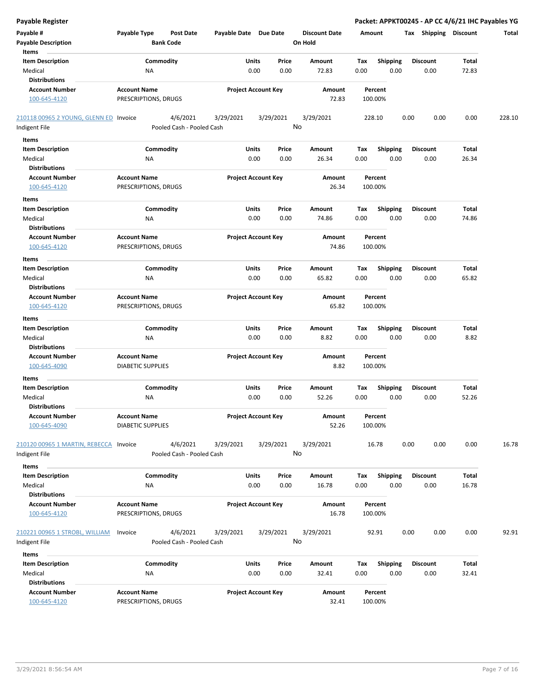| <b>Payable Register</b>                |                                                 |                       |                            |                      |                    |                 | Packet: APPKT00245 - AP CC 4/6/21 IHC Payables YG |       |        |
|----------------------------------------|-------------------------------------------------|-----------------------|----------------------------|----------------------|--------------------|-----------------|---------------------------------------------------|-------|--------|
| Payable #                              | Payable Type<br><b>Post Date</b>                | Payable Date Due Date |                            | <b>Discount Date</b> | Amount             |                 | Tax Shipping Discount                             |       | Total  |
| <b>Payable Description</b>             | <b>Bank Code</b>                                |                       |                            | On Hold              |                    |                 |                                                   |       |        |
| Items                                  |                                                 |                       |                            |                      |                    |                 |                                                   |       |        |
| <b>Item Description</b>                | Commodity                                       | Units                 | Price                      | Amount               | Tax                | <b>Shipping</b> | <b>Discount</b>                                   | Total |        |
| Medical                                | NA                                              | 0.00                  | 0.00                       | 72.83                | 0.00               | 0.00            | 0.00                                              | 72.83 |        |
| <b>Distributions</b>                   |                                                 |                       |                            |                      |                    |                 |                                                   |       |        |
| <b>Account Number</b>                  | <b>Account Name</b>                             |                       | <b>Project Account Key</b> | Amount               | Percent            |                 |                                                   |       |        |
| 100-645-4120                           | PRESCRIPTIONS, DRUGS                            |                       |                            | 72.83                | 100.00%            |                 |                                                   |       |        |
| 210118 00965 2 YOUNG, GLENN ED Invoice | 4/6/2021                                        | 3/29/2021             | 3/29/2021                  | 3/29/2021            | 228.10             |                 | 0.00<br>0.00                                      | 0.00  | 228.10 |
| Indigent File                          | Pooled Cash - Pooled Cash                       |                       |                            | No                   |                    |                 |                                                   |       |        |
| Items                                  |                                                 |                       |                            |                      |                    |                 |                                                   |       |        |
| <b>Item Description</b>                | Commodity                                       | Units                 | Price                      | Amount               | Tax                | <b>Shipping</b> | <b>Discount</b>                                   | Total |        |
| Medical                                | ΝA                                              | 0.00                  | 0.00                       | 26.34                | 0.00               | 0.00            | 0.00                                              | 26.34 |        |
| <b>Distributions</b>                   |                                                 |                       |                            |                      |                    |                 |                                                   |       |        |
| <b>Account Number</b>                  | <b>Account Name</b>                             |                       | <b>Project Account Key</b> | Amount               | Percent            |                 |                                                   |       |        |
| 100-645-4120                           | PRESCRIPTIONS, DRUGS                            |                       |                            | 26.34                | 100.00%            |                 |                                                   |       |        |
| Items                                  |                                                 |                       |                            |                      |                    |                 |                                                   |       |        |
| <b>Item Description</b>                | Commodity                                       | Units                 | Price                      | Amount               | Tax                | <b>Shipping</b> | <b>Discount</b>                                   | Total |        |
| Medical                                | ΝA                                              | 0.00                  | 0.00                       | 74.86                | 0.00               | 0.00            | 0.00                                              | 74.86 |        |
| <b>Distributions</b>                   |                                                 |                       |                            |                      |                    |                 |                                                   |       |        |
| <b>Account Number</b>                  | <b>Account Name</b>                             |                       | <b>Project Account Key</b> | Amount               | Percent            |                 |                                                   |       |        |
| 100-645-4120                           | PRESCRIPTIONS, DRUGS                            |                       |                            | 74.86                | 100.00%            |                 |                                                   |       |        |
| Items                                  |                                                 |                       |                            |                      |                    |                 |                                                   |       |        |
| <b>Item Description</b>                | Commodity                                       | Units                 | Price                      | Amount               | Tax                | <b>Shipping</b> | <b>Discount</b>                                   | Total |        |
| Medical                                | NA                                              | 0.00                  | 0.00                       | 65.82                | 0.00               | 0.00            | 0.00                                              | 65.82 |        |
| <b>Distributions</b>                   |                                                 |                       |                            |                      |                    |                 |                                                   |       |        |
| <b>Account Number</b><br>100-645-4120  | <b>Account Name</b><br>PRESCRIPTIONS, DRUGS     |                       | <b>Project Account Key</b> | Amount<br>65.82      | Percent<br>100.00% |                 |                                                   |       |        |
| Items                                  |                                                 |                       |                            |                      |                    |                 |                                                   |       |        |
| <b>Item Description</b>                | Commodity                                       | Units                 | Price                      | Amount               | Tax                | <b>Shipping</b> | <b>Discount</b>                                   | Total |        |
| Medical                                | NA                                              | 0.00                  | 0.00                       | 8.82                 | 0.00               | 0.00            | 0.00                                              | 8.82  |        |
| <b>Distributions</b>                   |                                                 |                       |                            |                      |                    |                 |                                                   |       |        |
| <b>Account Number</b>                  | <b>Account Name</b>                             |                       | <b>Project Account Key</b> | Amount               | Percent            |                 |                                                   |       |        |
| 100-645-4090                           | <b>DIABETIC SUPPLIES</b>                        |                       |                            | 8.82                 | 100.00%            |                 |                                                   |       |        |
| Items                                  |                                                 |                       |                            |                      |                    |                 |                                                   |       |        |
| <b>Item Description</b>                | Commodity                                       | Units                 | Price                      | Amount               | Tax                | <b>Shipping</b> | <b>Discount</b>                                   | Total |        |
| Medical                                | ΝA                                              | 0.00                  | 0.00                       | 52.26                | 0.00               | 0.00            | 0.00                                              | 52.26 |        |
| <b>Distributions</b>                   |                                                 |                       |                            |                      |                    |                 |                                                   |       |        |
| <b>Account Number</b><br>100-645-4090  | <b>Account Name</b><br><b>DIABETIC SUPPLIES</b> |                       | <b>Project Account Key</b> | Amount<br>52.26      | Percent<br>100.00% |                 |                                                   |       |        |
|                                        |                                                 |                       |                            |                      |                    |                 |                                                   |       |        |
| 210120 00965 1 MARTIN, REBECCA Invoice | 4/6/2021                                        | 3/29/2021             | 3/29/2021                  | 3/29/2021            | 16.78              |                 | 0.00<br>0.00                                      | 0.00  | 16.78  |
| Indigent File                          | Pooled Cash - Pooled Cash                       |                       |                            | No                   |                    |                 |                                                   |       |        |
| Items                                  |                                                 |                       |                            |                      |                    |                 |                                                   |       |        |
| <b>Item Description</b>                | Commodity                                       | Units                 | Price                      | Amount               | Tax                | <b>Shipping</b> | <b>Discount</b>                                   | Total |        |
| Medical                                | NA                                              | 0.00                  | 0.00                       | 16.78                | 0.00               | 0.00            | 0.00                                              | 16.78 |        |
| <b>Distributions</b>                   |                                                 |                       |                            |                      |                    |                 |                                                   |       |        |
| <b>Account Number</b>                  | <b>Account Name</b>                             |                       | <b>Project Account Key</b> | Amount               | Percent            |                 |                                                   |       |        |
| 100-645-4120                           | PRESCRIPTIONS, DRUGS                            |                       |                            | 16.78                | 100.00%            |                 |                                                   |       |        |
| 210221 00965 1 STROBL, WILLIAM         | 4/6/2021<br>Invoice                             | 3/29/2021             | 3/29/2021                  | 3/29/2021            | 92.91              |                 | 0.00<br>0.00                                      | 0.00  | 92.91  |
| Indigent File                          | Pooled Cash - Pooled Cash                       |                       |                            | No                   |                    |                 |                                                   |       |        |
| Items                                  |                                                 |                       |                            |                      |                    |                 |                                                   |       |        |
| <b>Item Description</b>                | Commodity                                       | <b>Units</b>          | Price                      | Amount               | Tax                | Shipping        | <b>Discount</b>                                   | Total |        |
| Medical                                | NA                                              | 0.00                  | 0.00                       | 32.41                | 0.00               | 0.00            | 0.00                                              | 32.41 |        |
| <b>Distributions</b>                   |                                                 |                       |                            |                      |                    |                 |                                                   |       |        |
| <b>Account Number</b>                  | <b>Account Name</b>                             |                       | <b>Project Account Key</b> | Amount               | Percent            |                 |                                                   |       |        |
| 100-645-4120                           | PRESCRIPTIONS, DRUGS                            |                       |                            | 32.41                | 100.00%            |                 |                                                   |       |        |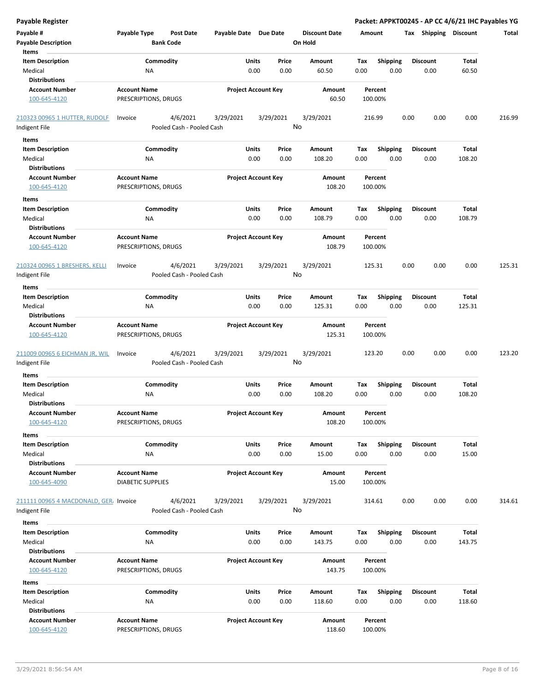| <b>Payable Register</b>                         |                                                      |                            |                 |                                 | Packet: APPKT00245 - AP CC 4/6/21 IHC Payables YG |                         |                 |        |
|-------------------------------------------------|------------------------------------------------------|----------------------------|-----------------|---------------------------------|---------------------------------------------------|-------------------------|-----------------|--------|
| Payable #<br><b>Payable Description</b>         | Payable Type<br><b>Post Date</b><br><b>Bank Code</b> | Payable Date Due Date      |                 | <b>Discount Date</b><br>On Hold | Amount                                            | Tax Shipping Discount   |                 | Total  |
| Items                                           |                                                      |                            |                 |                                 |                                                   |                         |                 |        |
| <b>Item Description</b>                         | Commodity                                            | Units                      | Price           | Amount                          | Tax<br><b>Shipping</b>                            | <b>Discount</b>         | Total           |        |
| Medical                                         | NA                                                   | 0.00                       | 0.00            | 60.50                           | 0.00<br>0.00                                      | 0.00                    | 60.50           |        |
| <b>Distributions</b>                            |                                                      |                            |                 |                                 |                                                   |                         |                 |        |
| <b>Account Number</b><br>100-645-4120           | <b>Account Name</b><br>PRESCRIPTIONS, DRUGS          | <b>Project Account Key</b> |                 | Amount<br>60.50                 | Percent<br>100.00%                                |                         |                 |        |
| 210323 00965 1 HUTTER, RUDOLF                   | 4/6/2021<br>Invoice                                  | 3/29/2021                  | 3/29/2021       | 3/29/2021                       | 216.99                                            | 0.00<br>0.00            | 0.00            | 216.99 |
| Indigent File                                   | Pooled Cash - Pooled Cash                            |                            | No              |                                 |                                                   |                         |                 |        |
| Items                                           |                                                      |                            |                 |                                 |                                                   |                         |                 |        |
| <b>Item Description</b>                         | Commodity                                            | Units                      | Price           | Amount                          | Tax<br><b>Shipping</b>                            | <b>Discount</b>         | Total           |        |
| Medical<br><b>Distributions</b>                 | ΝA                                                   | 0.00                       | 0.00            | 108.20                          | 0.00<br>0.00                                      | 0.00                    | 108.20          |        |
| <b>Account Number</b>                           | <b>Account Name</b>                                  | <b>Project Account Key</b> |                 | Amount                          | Percent                                           |                         |                 |        |
| 100-645-4120                                    | PRESCRIPTIONS, DRUGS                                 |                            |                 | 108.20                          | 100.00%                                           |                         |                 |        |
| Items                                           |                                                      |                            |                 |                                 |                                                   |                         |                 |        |
| <b>Item Description</b><br>Medical              | Commodity<br>ΝA                                      | Units<br>0.00              | Price<br>0.00   | Amount<br>108.79                | Tax<br><b>Shipping</b><br>0.00<br>0.00            | <b>Discount</b><br>0.00 | Total<br>108.79 |        |
| <b>Distributions</b>                            |                                                      |                            |                 |                                 |                                                   |                         |                 |        |
| <b>Account Number</b><br>100-645-4120           | <b>Account Name</b><br>PRESCRIPTIONS, DRUGS          | <b>Project Account Key</b> |                 | Amount<br>108.79                | Percent<br>100.00%                                |                         |                 |        |
| 210324 00965 1 BRESHERS, KELLI<br>Indigent File | 4/6/2021<br>Invoice<br>Pooled Cash - Pooled Cash     | 3/29/2021                  | 3/29/2021<br>No | 3/29/2021                       | 125.31                                            | 0.00<br>0.00            | 0.00            | 125.31 |
| Items                                           |                                                      |                            |                 |                                 |                                                   |                         |                 |        |
| <b>Item Description</b>                         | Commodity                                            | Units                      | Price           | Amount                          | Tax<br><b>Shipping</b>                            | <b>Discount</b>         | Total           |        |
| Medical<br><b>Distributions</b>                 | ΝA                                                   | 0.00                       | 0.00            | 125.31                          | 0.00<br>0.00                                      | 0.00                    | 125.31          |        |
| <b>Account Number</b>                           | <b>Account Name</b>                                  | <b>Project Account Key</b> |                 | Amount                          | Percent                                           |                         |                 |        |
| 100-645-4120                                    | PRESCRIPTIONS, DRUGS                                 |                            |                 | 125.31                          | 100.00%                                           |                         |                 |        |
| 211009 00965 6 EICHMAN JR, WIL<br>Indigent File | 4/6/2021<br>Invoice<br>Pooled Cash - Pooled Cash     | 3/29/2021                  | 3/29/2021<br>No | 3/29/2021                       | 123.20                                            | 0.00<br>0.00            | 0.00            | 123.20 |
| Items                                           |                                                      |                            |                 |                                 |                                                   |                         |                 |        |
| <b>Item Description</b>                         | Commodity                                            | Units                      | Price           | Amount                          | Tax<br><b>Shipping</b>                            | <b>Discount</b>         | Total           |        |
| Medical                                         | ΝA                                                   | 0.00                       | 0.00            | 108.20                          | 0.00<br>0.00                                      | 0.00                    | 108.20          |        |
| <b>Distributions</b>                            |                                                      |                            |                 |                                 |                                                   |                         |                 |        |
| <b>Account Number</b><br>100-645-4120           | <b>Account Name</b><br>PRESCRIPTIONS, DRUGS          | <b>Project Account Key</b> |                 | Amount<br>108.20                | Percent<br>100.00%                                |                         |                 |        |
| Items                                           |                                                      |                            |                 |                                 |                                                   |                         |                 |        |
| <b>Item Description</b>                         | Commodity                                            | <b>Units</b>               | Price           | Amount                          | Shipping<br>Tax                                   | <b>Discount</b>         | Total           |        |
| Medical                                         | NA                                                   | 0.00                       | 0.00            | 15.00                           | 0.00<br>0.00                                      | 0.00                    | 15.00           |        |
| <b>Distributions</b>                            |                                                      |                            |                 |                                 |                                                   |                         |                 |        |
| <b>Account Number</b><br>100-645-4090           | <b>Account Name</b><br><b>DIABETIC SUPPLIES</b>      | <b>Project Account Key</b> |                 | Amount<br>15.00                 | Percent<br>100.00%                                |                         |                 |        |
| 211111 00965 4 MACDONALD, GER, Invoice          | 4/6/2021                                             | 3/29/2021                  | 3/29/2021<br>No | 3/29/2021                       | 314.61                                            | 0.00<br>0.00            | 0.00            | 314.61 |
| Indigent File                                   | Pooled Cash - Pooled Cash                            |                            |                 |                                 |                                                   |                         |                 |        |
| Items                                           |                                                      |                            |                 |                                 |                                                   |                         |                 |        |
| <b>Item Description</b>                         | Commodity                                            | Units                      | Price           | Amount                          | Shipping<br>Tax                                   | <b>Discount</b>         | Total           |        |
| Medical                                         | NA                                                   | 0.00                       | 0.00            | 143.75                          | 0.00<br>0.00                                      | 0.00                    | 143.75          |        |
| <b>Distributions</b>                            |                                                      |                            |                 |                                 |                                                   |                         |                 |        |
| <b>Account Number</b>                           | <b>Account Name</b>                                  | <b>Project Account Key</b> |                 | Amount                          | Percent                                           |                         |                 |        |
| 100-645-4120                                    | PRESCRIPTIONS, DRUGS                                 |                            |                 | 143.75                          | 100.00%                                           |                         |                 |        |
| Items                                           |                                                      |                            |                 |                                 |                                                   |                         |                 |        |
| <b>Item Description</b>                         | Commodity                                            | Units                      | Price           | Amount                          | Tax<br><b>Shipping</b>                            | <b>Discount</b>         | Total           |        |
| Medical                                         | NA                                                   | 0.00                       | 0.00            | 118.60                          | 0.00<br>0.00                                      | 0.00                    | 118.60          |        |
| <b>Distributions</b>                            |                                                      |                            |                 |                                 |                                                   |                         |                 |        |
| <b>Account Number</b><br>100-645-4120           | <b>Account Name</b><br>PRESCRIPTIONS, DRUGS          | <b>Project Account Key</b> |                 | Amount<br>118.60                | Percent<br>100.00%                                |                         |                 |        |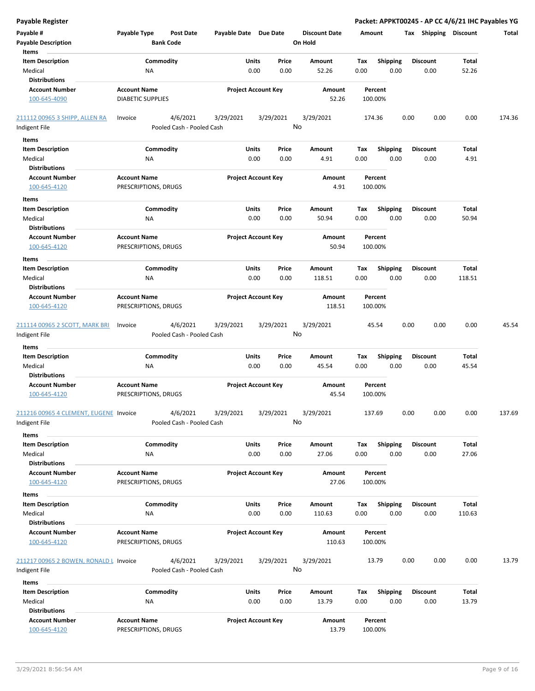| <b>Payable Register</b>                                       |                                                 |                                       |                       |                                |                                 |             |                         | Packet: APPKT00245 - AP CC 4/6/21 IHC Payables YG |                        |        |
|---------------------------------------------------------------|-------------------------------------------------|---------------------------------------|-----------------------|--------------------------------|---------------------------------|-------------|-------------------------|---------------------------------------------------|------------------------|--------|
| Payable #<br><b>Payable Description</b>                       | Payable Type                                    | <b>Post Date</b><br><b>Bank Code</b>  | Payable Date Due Date |                                | <b>Discount Date</b><br>On Hold | Amount      |                         | Tax Shipping Discount                             |                        | Total  |
| Items                                                         |                                                 |                                       |                       |                                |                                 |             |                         |                                                   |                        |        |
| <b>Item Description</b><br>Medical<br><b>Distributions</b>    | Commodity<br>NA                                 |                                       |                       | Units<br>Price<br>0.00<br>0.00 | Amount<br>52.26                 | Tax<br>0.00 | <b>Shipping</b><br>0.00 | <b>Discount</b><br>0.00                           | Total<br>52.26         |        |
| <b>Account Number</b><br>100-645-4090                         | <b>Account Name</b><br><b>DIABETIC SUPPLIES</b> |                                       |                       | <b>Project Account Key</b>     | Amount<br>52.26                 |             | Percent<br>100.00%      |                                                   |                        |        |
| 211112 00965 3 SHIPP, ALLEN RA<br>Indigent File               | Invoice                                         | 4/6/2021<br>Pooled Cash - Pooled Cash | 3/29/2021             | 3/29/2021                      | 3/29/2021<br>No                 |             | 174.36                  | 0.00<br>0.00                                      | 0.00                   | 174.36 |
| Items                                                         |                                                 |                                       |                       |                                |                                 |             |                         |                                                   |                        |        |
| <b>Item Description</b><br>Medical<br><b>Distributions</b>    | Commodity<br>ΝA                                 |                                       |                       | Units<br>Price<br>0.00<br>0.00 | Amount<br>4.91                  | Tax<br>0.00 | <b>Shipping</b><br>0.00 | <b>Discount</b><br>0.00                           | Total<br>4.91          |        |
| <b>Account Number</b>                                         | <b>Account Name</b>                             |                                       |                       | <b>Project Account Key</b>     | Amount                          |             | Percent                 |                                                   |                        |        |
| 100-645-4120                                                  | PRESCRIPTIONS, DRUGS                            |                                       |                       |                                | 4.91                            |             | 100.00%                 |                                                   |                        |        |
| Items                                                         |                                                 |                                       |                       |                                |                                 |             |                         |                                                   |                        |        |
| <b>Item Description</b><br>Medical                            | Commodity<br>ΝA                                 |                                       |                       | Units<br>Price<br>0.00<br>0.00 | Amount<br>50.94                 | Tax<br>0.00 | <b>Shipping</b><br>0.00 | <b>Discount</b><br>0.00                           | Total<br>50.94         |        |
| <b>Distributions</b><br><b>Account Number</b><br>100-645-4120 | <b>Account Name</b><br>PRESCRIPTIONS, DRUGS     |                                       |                       | <b>Project Account Key</b>     | Amount<br>50.94                 |             | Percent<br>100.00%      |                                                   |                        |        |
| Items                                                         |                                                 |                                       |                       |                                |                                 |             |                         |                                                   |                        |        |
| <b>Item Description</b><br>Medical                            | Commodity<br>NA                                 |                                       |                       | Units<br>Price<br>0.00<br>0.00 | Amount<br>118.51                | Tax<br>0.00 | <b>Shipping</b><br>0.00 | <b>Discount</b><br>0.00                           | Total<br>118.51        |        |
| <b>Distributions</b>                                          |                                                 |                                       |                       |                                |                                 |             |                         |                                                   |                        |        |
| <b>Account Number</b><br>100-645-4120                         | <b>Account Name</b><br>PRESCRIPTIONS, DRUGS     |                                       |                       | <b>Project Account Key</b>     | Amount<br>118.51                |             | Percent<br>100.00%      |                                                   |                        |        |
| 211114 00965 2 SCOTT, MARK BRI<br>Indigent File               | Invoice                                         | 4/6/2021<br>Pooled Cash - Pooled Cash | 3/29/2021             | 3/29/2021                      | 3/29/2021<br>No                 |             | 45.54                   | 0.00<br>0.00                                      | 0.00                   | 45.54  |
| Items                                                         |                                                 |                                       |                       |                                |                                 |             |                         |                                                   |                        |        |
| <b>Item Description</b><br>Medical<br><b>Distributions</b>    | Commodity<br>NA                                 |                                       |                       | Units<br>Price<br>0.00<br>0.00 | Amount<br>45.54                 | Tax<br>0.00 | <b>Shipping</b><br>0.00 | <b>Discount</b><br>0.00                           | Total<br>45.54         |        |
| <b>Account Number</b><br>100-645-4120                         | <b>Account Name</b><br>PRESCRIPTIONS, DRUGS     |                                       |                       | <b>Project Account Key</b>     | Amount<br>45.54                 |             | Percent<br>100.00%      |                                                   |                        |        |
| 211216 00965 4 CLEMENT, EUGENE Invoice<br>Indigent File       |                                                 | 4/6/2021<br>Pooled Cash - Pooled Cash | 3/29/2021             | 3/29/2021                      | 3/29/2021<br>No                 |             | 137.69                  | 0.00<br>0.00                                      | 0.00                   | 137.69 |
| Items                                                         |                                                 |                                       |                       |                                |                                 |             |                         |                                                   |                        |        |
| <b>Item Description</b><br>Medical                            | Commodity<br>ΝA                                 |                                       |                       | Units<br>Price<br>0.00<br>0.00 | Amount<br>27.06                 | Tax<br>0.00 | <b>Shipping</b><br>0.00 | <b>Discount</b><br>0.00                           | Total<br>27.06         |        |
| <b>Distributions</b><br><b>Account Number</b><br>100-645-4120 | <b>Account Name</b><br>PRESCRIPTIONS, DRUGS     |                                       |                       | <b>Project Account Key</b>     | Amount<br>27.06                 |             | Percent<br>100.00%      |                                                   |                        |        |
| Items                                                         |                                                 |                                       |                       |                                |                                 |             |                         |                                                   |                        |        |
| <b>Item Description</b><br>Medical<br><b>Distributions</b>    | Commodity<br>NA                                 |                                       |                       | Units<br>Price<br>0.00<br>0.00 | Amount<br>110.63                | Tax<br>0.00 | <b>Shipping</b><br>0.00 | <b>Discount</b><br>0.00                           | <b>Total</b><br>110.63 |        |
| <b>Account Number</b><br>100-645-4120                         | <b>Account Name</b><br>PRESCRIPTIONS, DRUGS     |                                       |                       | <b>Project Account Key</b>     | Amount<br>110.63                |             | Percent<br>100.00%      |                                                   |                        |        |
| 211217 00965 2 BOWEN, RONALD L Invoice<br>Indigent File       |                                                 | 4/6/2021<br>Pooled Cash - Pooled Cash | 3/29/2021             | 3/29/2021                      | 3/29/2021<br>No                 |             | 13.79                   | 0.00<br>0.00                                      | 0.00                   | 13.79  |
| Items                                                         |                                                 |                                       |                       |                                |                                 |             |                         |                                                   |                        |        |
| <b>Item Description</b><br>Medical                            | Commodity<br>NA                                 |                                       |                       | Units<br>Price<br>0.00<br>0.00 | Amount<br>13.79                 | Tax<br>0.00 | <b>Shipping</b><br>0.00 | <b>Discount</b><br>0.00                           | Total<br>13.79         |        |
| <b>Distributions</b>                                          |                                                 |                                       |                       |                                |                                 |             |                         |                                                   |                        |        |
| <b>Account Number</b><br>100-645-4120                         | <b>Account Name</b><br>PRESCRIPTIONS, DRUGS     |                                       |                       | <b>Project Account Key</b>     | Amount<br>13.79                 |             | Percent<br>100.00%      |                                                   |                        |        |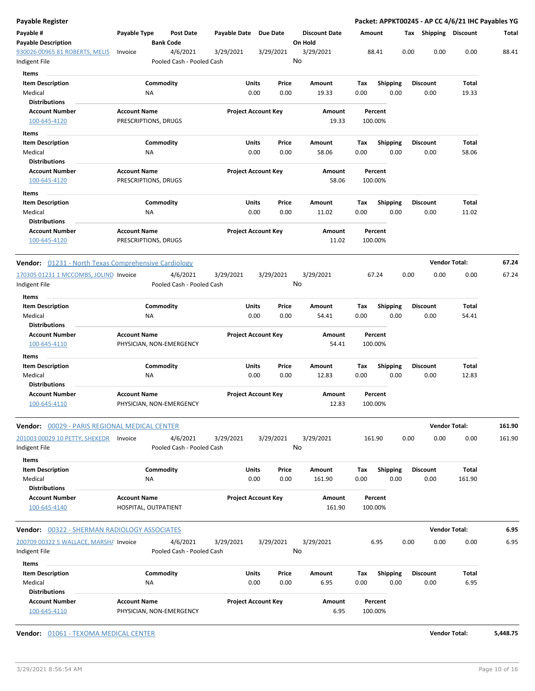| Payable Register                                              |                                                 |                  |                                       |              |                            |    |                                 |             |                         |      |                         | Packet: APPKT00245 - AP CC 4/6/21 IHC Payables YG |        |
|---------------------------------------------------------------|-------------------------------------------------|------------------|---------------------------------------|--------------|----------------------------|----|---------------------------------|-------------|-------------------------|------|-------------------------|---------------------------------------------------|--------|
| Payable #<br><b>Payable Description</b>                       | Payable Type                                    | <b>Bank Code</b> | <b>Post Date</b>                      | Payable Date | Due Date                   |    | <b>Discount Date</b><br>On Hold | Amount      |                         |      | Tax Shipping Discount   |                                                   | Total  |
| 930026 00965 81 ROBERTS, MELIS<br>Indigent File               | Invoice                                         |                  | 4/6/2021<br>Pooled Cash - Pooled Cash | 3/29/2021    | 3/29/2021                  | No | 3/29/2021                       |             | 88.41                   | 0.00 | 0.00                    | 0.00                                              | 88.41  |
| Items                                                         |                                                 |                  |                                       |              |                            |    |                                 |             |                         |      |                         |                                                   |        |
| <b>Item Description</b><br>Medical                            |                                                 | Commodity<br>ΝA  |                                       | Units        | Price<br>0.00<br>0.00      |    | Amount<br>19.33                 | Tax<br>0.00 | <b>Shipping</b><br>0.00 |      | <b>Discount</b><br>0.00 | Total<br>19.33                                    |        |
| <b>Distributions</b>                                          |                                                 |                  |                                       |              |                            |    |                                 |             |                         |      |                         |                                                   |        |
| <b>Account Number</b><br>100-645-4120                         | <b>Account Name</b><br>PRESCRIPTIONS, DRUGS     |                  |                                       |              | <b>Project Account Key</b> |    | Amount<br>19.33                 |             | Percent<br>100.00%      |      |                         |                                                   |        |
| Items                                                         |                                                 |                  |                                       |              |                            |    |                                 |             |                         |      |                         |                                                   |        |
| <b>Item Description</b>                                       |                                                 | Commodity        |                                       | Units        | Price                      |    | Amount                          | Тах         | <b>Shipping</b>         |      | <b>Discount</b>         | Total                                             |        |
| Medical                                                       |                                                 | ΝA               |                                       |              | 0.00<br>0.00               |    | 58.06                           | 0.00        | 0.00                    |      | 0.00                    | 58.06                                             |        |
| <b>Distributions</b><br><b>Account Number</b>                 | <b>Account Name</b>                             |                  |                                       |              | <b>Project Account Key</b> |    | Amount                          |             | Percent                 |      |                         |                                                   |        |
| 100-645-4120                                                  | PRESCRIPTIONS, DRUGS                            |                  |                                       |              |                            |    | 58.06                           |             | 100.00%                 |      |                         |                                                   |        |
| Items<br><b>Item Description</b>                              |                                                 |                  |                                       |              |                            |    |                                 |             |                         |      |                         |                                                   |        |
| Medical                                                       |                                                 | Commodity<br>ΝA  |                                       | Units        | Price<br>0.00<br>0.00      |    | Amount<br>11.02                 | Tax<br>0.00 | Shipping<br>0.00        |      | <b>Discount</b><br>0.00 | Total<br>11.02                                    |        |
| <b>Distributions</b><br><b>Account Number</b><br>100-645-4120 | <b>Account Name</b><br>PRESCRIPTIONS, DRUGS     |                  |                                       |              | <b>Project Account Key</b> |    | Amount<br>11.02                 |             | Percent<br>100.00%      |      |                         |                                                   |        |
| Vendor: 01231 - North Texas Comprehensive Cardiology          |                                                 |                  |                                       |              |                            |    |                                 |             |                         |      | <b>Vendor Total:</b>    |                                                   | 67.24  |
| 170305 01231 1 MCCOMBS, JOLIND Invoice                        |                                                 |                  | 4/6/2021                              | 3/29/2021    | 3/29/2021                  |    | 3/29/2021                       |             | 67.24                   | 0.00 | 0.00                    | 0.00                                              | 67.24  |
| Indigent File                                                 |                                                 |                  | Pooled Cash - Pooled Cash             |              |                            | No |                                 |             |                         |      |                         |                                                   |        |
| Items<br><b>Item Description</b>                              |                                                 | Commodity        |                                       | Units        | Price                      |    | Amount                          | Tax         | Shipping                |      | <b>Discount</b>         | Total                                             |        |
| Medical                                                       |                                                 | NA               |                                       |              | 0.00<br>0.00               |    | 54.41                           | 0.00        | 0.00                    |      | 0.00                    | 54.41                                             |        |
| <b>Distributions</b>                                          |                                                 |                  |                                       |              |                            |    |                                 |             |                         |      |                         |                                                   |        |
| <b>Account Number</b><br>100-645-4110                         | <b>Account Name</b><br>PHYSICIAN, NON-EMERGENCY |                  |                                       |              | <b>Project Account Key</b> |    | Amount<br>54.41                 |             | Percent<br>100.00%      |      |                         |                                                   |        |
| Items                                                         |                                                 |                  |                                       |              |                            |    |                                 |             |                         |      |                         |                                                   |        |
| <b>Item Description</b>                                       |                                                 | Commodity        |                                       | Units        | Price                      |    | Amount                          | Tax         | <b>Shipping</b>         |      | <b>Discount</b>         | Total                                             |        |
| Medical<br><b>Distributions</b>                               |                                                 | ΝA               |                                       |              | 0.00<br>0.00               |    | 12.83                           | 0.00        | 0.00                    |      | 0.00                    | 12.83                                             |        |
| <b>Account Number</b><br>100-645-4110                         | <b>Account Name</b><br>PHYSICIAN, NON-EMERGENCY |                  |                                       |              | <b>Project Account Key</b> |    | Amount<br>12.83                 |             | Percent<br>100.00%      |      |                         |                                                   |        |
| Vendor: 00029 - PARIS REGIONAL MEDICAL CENTER                 |                                                 |                  |                                       |              |                            |    |                                 |             |                         |      | <b>Vendor Total:</b>    |                                                   | 161.90 |
| 201003 00029 10 PETTY, SHEKEDR Invoice<br>Indigent File       |                                                 |                  | 4/6/2021<br>Pooled Cash - Pooled Cash | 3/29/2021    | 3/29/2021                  | No | 3/29/2021                       |             | 161.90                  | 0.00 | 0.00                    | 0.00                                              | 161.90 |
| Items<br><b>Item Description</b>                              |                                                 | Commodity        |                                       | Units        | Price                      |    | Amount                          | Tax         | Shipping                |      | <b>Discount</b>         | Total                                             |        |
| Medical                                                       |                                                 | ΝA               |                                       |              | 0.00<br>0.00               |    | 161.90                          | 0.00        | 0.00                    |      | 0.00                    | 161.90                                            |        |
| <b>Distributions</b>                                          |                                                 |                  |                                       |              |                            |    |                                 |             |                         |      |                         |                                                   |        |
| <b>Account Number</b><br>100-645-4140                         | <b>Account Name</b><br>HOSPITAL, OUTPATIENT     |                  |                                       |              | <b>Project Account Key</b> |    | Amount<br>161.90                |             | Percent<br>100.00%      |      |                         |                                                   |        |
| <b>Vendor:</b> 00322 - SHERMAN RADIOLOGY ASSOCIATES           |                                                 |                  |                                       |              |                            |    |                                 |             |                         |      | <b>Vendor Total:</b>    |                                                   | 6.95   |
| 200709 00322 5 WALLACE, MARSH/ Invoice                        |                                                 |                  | 4/6/2021                              | 3/29/2021    | 3/29/2021                  |    | 3/29/2021                       |             | 6.95                    | 0.00 | 0.00                    | 0.00                                              | 6.95   |
| Indigent File                                                 |                                                 |                  | Pooled Cash - Pooled Cash             |              |                            | No |                                 |             |                         |      |                         |                                                   |        |
| <b>Items</b>                                                  |                                                 |                  |                                       |              |                            |    |                                 |             |                         |      |                         |                                                   |        |
| <b>Item Description</b>                                       |                                                 | Commodity        |                                       | Units        | Price                      |    | Amount                          | Tax         | <b>Shipping</b>         |      | <b>Discount</b>         | Total                                             |        |
| Medical                                                       |                                                 | NA               |                                       |              | 0.00<br>0.00               |    | 6.95                            | 0.00        | 0.00                    |      | 0.00                    | 6.95                                              |        |
| <b>Distributions</b><br><b>Account Number</b><br>100-645-4110 | <b>Account Name</b><br>PHYSICIAN, NON-EMERGENCY |                  |                                       |              | <b>Project Account Key</b> |    | Amount<br>6.95                  |             | Percent<br>100.00%      |      |                         |                                                   |        |
|                                                               |                                                 |                  |                                       |              |                            |    |                                 |             |                         |      |                         |                                                   |        |

**Vendor:**  $\underline{01061}$  - TEXOMA MEDICAL CENTER **Vendor Total: 5,448.75**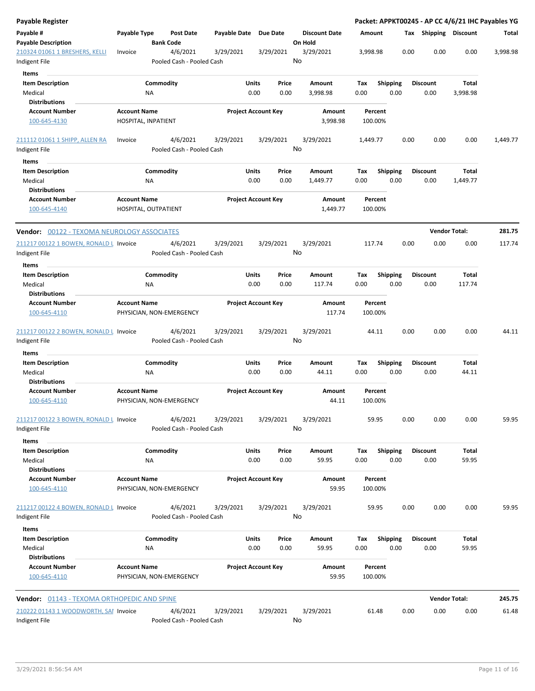| Payable Register                                        |                                                 |                                       |                     |                            |                                 |                    |                         |      |                         | Packet: APPKT00245 - AP CC 4/6/21 IHC Payables YG |          |
|---------------------------------------------------------|-------------------------------------------------|---------------------------------------|---------------------|----------------------------|---------------------------------|--------------------|-------------------------|------|-------------------------|---------------------------------------------------|----------|
| Payable #<br><b>Payable Description</b>                 | Payable Type                                    | <b>Post Date</b><br><b>Bank Code</b>  | <b>Payable Date</b> | Due Date                   | <b>Discount Date</b><br>On Hold | Amount             |                         |      | Tax Shipping Discount   |                                                   | Total    |
| 210324 01061 1 BRESHERS, KELLI<br>Indigent File         | Invoice                                         | 4/6/2021<br>Pooled Cash - Pooled Cash | 3/29/2021           | 3/29/2021                  | 3/29/2021<br>No                 | 3,998.98           |                         | 0.00 | 0.00                    | 0.00                                              | 3,998.98 |
| <b>Items</b>                                            |                                                 |                                       |                     |                            |                                 |                    |                         |      |                         |                                                   |          |
| <b>Item Description</b><br>Medical                      | ΝA                                              | Commodity                             | Units               | Price<br>0.00<br>0.00      | Amount<br>3,998.98              | Tax<br>0.00        | <b>Shipping</b><br>0.00 |      | <b>Discount</b><br>0.00 | Total<br>3,998.98                                 |          |
| <b>Distributions</b>                                    |                                                 |                                       |                     |                            |                                 |                    |                         |      |                         |                                                   |          |
| <b>Account Number</b><br>100-645-4130                   | <b>Account Name</b><br>HOSPITAL, INPATIENT      |                                       |                     | <b>Project Account Key</b> | Amount<br>3,998.98              | Percent<br>100.00% |                         |      |                         |                                                   |          |
| 211112 01061 1 SHIPP, ALLEN RA                          | Invoice                                         | 4/6/2021                              | 3/29/2021           | 3/29/2021                  | 3/29/2021                       | 1,449.77           |                         | 0.00 | 0.00                    | 0.00                                              | 1,449.77 |
| Indigent File                                           |                                                 | Pooled Cash - Pooled Cash             |                     |                            | No                              |                    |                         |      |                         |                                                   |          |
| Items                                                   |                                                 |                                       |                     |                            |                                 |                    |                         |      |                         |                                                   |          |
| <b>Item Description</b>                                 |                                                 | Commodity                             | Units               | Price                      | Amount                          | Tax                | <b>Shipping</b>         |      | <b>Discount</b>         | Total                                             |          |
| Medical<br><b>Distributions</b>                         | NA                                              |                                       |                     | 0.00<br>0.00               | 1,449.77                        | 0.00               | 0.00                    |      | 0.00                    | 1,449.77                                          |          |
| <b>Account Number</b><br>100-645-4140                   | <b>Account Name</b><br>HOSPITAL, OUTPATIENT     |                                       |                     | <b>Project Account Key</b> | Amount<br>1,449.77              | Percent<br>100.00% |                         |      |                         |                                                   |          |
| <b>Vendor:</b> 00122 - TEXOMA NEUROLOGY ASSOCIATES      |                                                 |                                       |                     |                            |                                 |                    |                         |      |                         | <b>Vendor Total:</b>                              | 281.75   |
| 211217 00122 1 BOWEN, RONALD L Invoice                  |                                                 | 4/6/2021                              | 3/29/2021           | 3/29/2021                  | 3/29/2021                       | 117.74             |                         | 0.00 | 0.00                    | 0.00                                              | 117.74   |
| Indigent File                                           |                                                 | Pooled Cash - Pooled Cash             |                     |                            | No                              |                    |                         |      |                         |                                                   |          |
| Items                                                   |                                                 |                                       |                     |                            |                                 |                    |                         |      |                         |                                                   |          |
| <b>Item Description</b><br>Medical                      | ΝA                                              | Commodity                             | Units               | Price<br>0.00<br>0.00      | Amount<br>117.74                | Tax<br>0.00        | <b>Shipping</b><br>0.00 |      | <b>Discount</b><br>0.00 | Total<br>117.74                                   |          |
| <b>Distributions</b>                                    |                                                 |                                       |                     |                            |                                 |                    |                         |      |                         |                                                   |          |
| <b>Account Number</b><br>100-645-4110                   | <b>Account Name</b><br>PHYSICIAN, NON-EMERGENCY |                                       |                     | <b>Project Account Key</b> | Amount<br>117.74                | Percent<br>100.00% |                         |      |                         |                                                   |          |
| 211217 00122 2 BOWEN, RONALD L Invoice<br>Indigent File |                                                 | 4/6/2021<br>Pooled Cash - Pooled Cash | 3/29/2021           | 3/29/2021                  | 3/29/2021<br>No                 | 44.11              |                         | 0.00 | 0.00                    | 0.00                                              | 44.11    |
| Items                                                   |                                                 |                                       |                     |                            |                                 |                    |                         |      |                         |                                                   |          |
| <b>Item Description</b><br>Medical                      | <b>NA</b>                                       | Commodity                             | Units               | Price<br>0.00<br>0.00      | Amount<br>44.11                 | Tax<br>0.00        | <b>Shipping</b><br>0.00 |      | <b>Discount</b><br>0.00 | Total<br>44.11                                    |          |
| <b>Distributions</b>                                    |                                                 |                                       |                     | <b>Project Account Key</b> |                                 |                    |                         |      |                         |                                                   |          |
| <b>Account Number</b><br>100-645-4110                   | <b>Account Name</b><br>PHYSICIAN, NON-EMERGENCY |                                       |                     |                            | Amount<br>44.11                 | Percent<br>100.00% |                         |      |                         |                                                   |          |
| 211217 00122 3 BOWEN, RONALD L Invoice<br>Indigent File |                                                 | 4/6/2021<br>Pooled Cash - Pooled Cash | 3/29/2021           | 3/29/2021                  | 3/29/2021<br>No                 | 59.95              |                         | 0.00 | 0.00                    | 0.00                                              | 59.95    |
| Items                                                   |                                                 |                                       |                     |                            |                                 |                    |                         |      |                         |                                                   |          |
| <b>Item Description</b>                                 |                                                 | Commodity                             | Units               | Price                      | Amount                          | Tax                | Shipping                |      | <b>Discount</b>         | Total                                             |          |
| Medical<br><b>Distributions</b>                         | NA                                              |                                       |                     | 0.00<br>0.00               | 59.95                           | 0.00               | 0.00                    |      | 0.00                    | 59.95                                             |          |
| <b>Account Number</b><br>100-645-4110                   | <b>Account Name</b><br>PHYSICIAN, NON-EMERGENCY |                                       |                     | <b>Project Account Key</b> | Amount<br>59.95                 | Percent<br>100.00% |                         |      |                         |                                                   |          |
| 211217 00122 4 BOWEN, RONALD L Invoice                  |                                                 | 4/6/2021                              | 3/29/2021           | 3/29/2021                  | 3/29/2021                       | 59.95              |                         | 0.00 | 0.00                    | 0.00                                              | 59.95    |
| Indigent File<br>Items                                  |                                                 | Pooled Cash - Pooled Cash             |                     |                            | No                              |                    |                         |      |                         |                                                   |          |
| <b>Item Description</b>                                 |                                                 | Commodity                             | Units               | Price                      | Amount                          | Tax                | <b>Shipping</b>         |      | <b>Discount</b>         | Total                                             |          |
| Medical                                                 | ΝA                                              |                                       |                     | 0.00<br>0.00               | 59.95                           | 0.00               | 0.00                    |      | 0.00                    | 59.95                                             |          |
| <b>Distributions</b><br><b>Account Number</b>           | <b>Account Name</b>                             |                                       |                     | <b>Project Account Key</b> | Amount                          | Percent            |                         |      |                         |                                                   |          |
| 100-645-4110                                            | PHYSICIAN, NON-EMERGENCY                        |                                       |                     |                            | 59.95                           | 100.00%            |                         |      |                         |                                                   |          |
| <b>Vendor:</b> 01143 - TEXOMA ORTHOPEDIC AND SPINE      |                                                 |                                       |                     |                            |                                 |                    |                         |      |                         | <b>Vendor Total:</b>                              | 245.75   |
| 210222 01143 1 WOODWORTH, SAI Invoice                   |                                                 | 4/6/2021                              | 3/29/2021           | 3/29/2021                  | 3/29/2021                       | 61.48              |                         | 0.00 | 0.00                    | 0.00                                              | 61.48    |
| Indigent File                                           |                                                 | Pooled Cash - Pooled Cash             |                     |                            | No                              |                    |                         |      |                         |                                                   |          |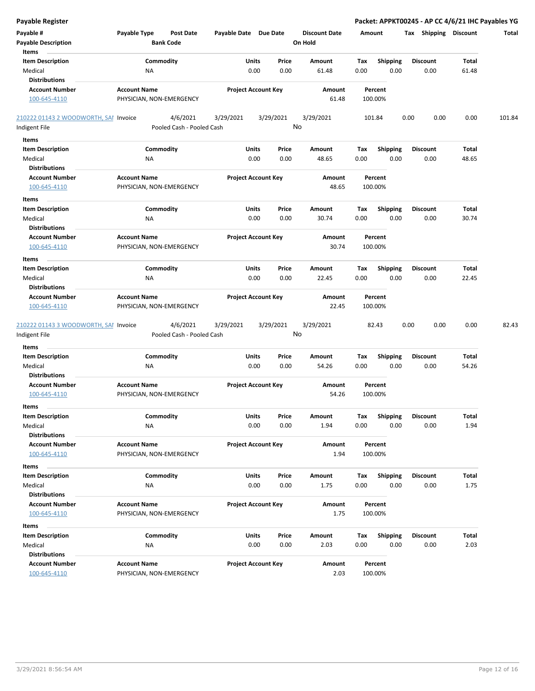| Payable Register                                              |                                                 |                                       |                       |                            |                                 |             |                         | Packet: APPKT00245 - AP CC 4/6/21 IHC Payables YG |                       |        |
|---------------------------------------------------------------|-------------------------------------------------|---------------------------------------|-----------------------|----------------------------|---------------------------------|-------------|-------------------------|---------------------------------------------------|-----------------------|--------|
| Payable #<br><b>Payable Description</b>                       | Payable Type                                    | <b>Post Date</b><br><b>Bank Code</b>  | Payable Date Due Date |                            | <b>Discount Date</b><br>On Hold | Amount      |                         | Tax Shipping Discount                             |                       | Total  |
| Items<br><b>Item Description</b><br>Medical                   | Commodity<br>ΝA                                 |                                       | Units<br>0.00         | Price<br>0.00              | Amount<br>61.48                 | Tax<br>0.00 | <b>Shipping</b><br>0.00 | <b>Discount</b><br>0.00                           | <b>Total</b><br>61.48 |        |
| <b>Distributions</b><br><b>Account Number</b><br>100-645-4110 | <b>Account Name</b><br>PHYSICIAN, NON-EMERGENCY |                                       |                       | <b>Project Account Key</b> | Amount<br>61.48                 |             | Percent<br>100.00%      |                                                   |                       |        |
| 210222 01143 2 WOODWORTH, SAI Invoice                         |                                                 | 4/6/2021                              | 3/29/2021             | 3/29/2021                  | 3/29/2021                       |             | 101.84                  | 0.00<br>0.00                                      | 0.00                  | 101.84 |
| Indigent File                                                 |                                                 | Pooled Cash - Pooled Cash             |                       |                            | No                              |             |                         |                                                   |                       |        |
| Items                                                         |                                                 |                                       |                       |                            |                                 |             |                         |                                                   |                       |        |
| <b>Item Description</b>                                       | Commodity                                       |                                       | Units                 | Price                      | Amount                          | Tax         | <b>Shipping</b>         | <b>Discount</b>                                   | Total                 |        |
| Medical                                                       | NA                                              |                                       | 0.00                  | 0.00                       | 48.65                           | 0.00        | 0.00                    | 0.00                                              | 48.65                 |        |
| <b>Distributions</b>                                          |                                                 |                                       |                       |                            |                                 |             |                         |                                                   |                       |        |
| <b>Account Number</b><br>100-645-4110                         | <b>Account Name</b><br>PHYSICIAN, NON-EMERGENCY |                                       |                       | <b>Project Account Key</b> | Amount<br>48.65                 |             | Percent<br>100.00%      |                                                   |                       |        |
| Items                                                         |                                                 |                                       |                       |                            |                                 |             |                         |                                                   |                       |        |
| <b>Item Description</b>                                       | Commodity                                       |                                       | Units                 | Price                      | Amount                          | Tax         | Shipping                | <b>Discount</b>                                   | Total                 |        |
| Medical                                                       | NA                                              |                                       | 0.00                  | 0.00                       | 30.74                           | 0.00        | 0.00                    | 0.00                                              | 30.74                 |        |
| <b>Distributions</b>                                          |                                                 |                                       |                       |                            |                                 |             |                         |                                                   |                       |        |
| <b>Account Number</b><br>100-645-4110                         | <b>Account Name</b><br>PHYSICIAN, NON-EMERGENCY |                                       |                       | <b>Project Account Key</b> | <b>Amount</b><br>30.74          |             | Percent<br>100.00%      |                                                   |                       |        |
| Items                                                         |                                                 |                                       |                       |                            |                                 |             |                         |                                                   |                       |        |
| <b>Item Description</b>                                       | Commodity                                       |                                       | Units                 | Price                      | Amount                          | Tax         | <b>Shipping</b>         | <b>Discount</b>                                   | <b>Total</b>          |        |
| Medical<br><b>Distributions</b>                               | ΝA                                              |                                       | 0.00                  | 0.00                       | 22.45                           | 0.00        | 0.00                    | 0.00                                              | 22.45                 |        |
| <b>Account Number</b><br>100-645-4110                         | <b>Account Name</b><br>PHYSICIAN, NON-EMERGENCY |                                       |                       | <b>Project Account Key</b> | Amount<br>22.45                 |             | Percent<br>100.00%      |                                                   |                       |        |
| 210222 01143 3 WOODWORTH, SAI Invoice                         |                                                 | 4/6/2021<br>Pooled Cash - Pooled Cash | 3/29/2021             | 3/29/2021                  | 3/29/2021<br>No                 |             | 82.43                   | 0.00<br>0.00                                      | 0.00                  | 82.43  |
| Indigent File                                                 |                                                 |                                       |                       |                            |                                 |             |                         |                                                   |                       |        |
| <b>Items</b>                                                  |                                                 |                                       |                       |                            |                                 |             |                         |                                                   |                       |        |
| <b>Item Description</b><br>Medical<br><b>Distributions</b>    | Commodity<br>NA                                 |                                       | Units<br>0.00         | Price<br>0.00              | Amount<br>54.26                 | Tax<br>0.00 | <b>Shipping</b><br>0.00 | <b>Discount</b><br>0.00                           | Total<br>54.26        |        |
| <b>Account Number</b><br>100-645-4110                         | <b>Account Name</b><br>PHYSICIAN, NON-EMERGENCY |                                       |                       | <b>Project Account Key</b> | Amount<br>54.26                 |             | Percent<br>100.00%      |                                                   |                       |        |
| Items                                                         |                                                 |                                       |                       |                            |                                 |             |                         |                                                   |                       |        |
| <b>Item Description</b><br>Medical                            | Commodity<br>NA                                 |                                       | Units<br>0.00         | Price<br>0.00              | Amount<br>1.94                  | Tax<br>0.00 | <b>Shipping</b><br>0.00 | <b>Discount</b><br>0.00                           | Total<br>1.94         |        |
| <b>Distributions</b><br><b>Account Number</b><br>100-645-4110 | <b>Account Name</b><br>PHYSICIAN, NON-EMERGENCY |                                       |                       | <b>Project Account Key</b> | Amount<br>1.94                  |             | Percent<br>100.00%      |                                                   |                       |        |
| Items                                                         |                                                 |                                       |                       |                            |                                 |             |                         |                                                   |                       |        |
| <b>Item Description</b><br>Medical                            | Commodity<br>ΝA                                 |                                       | Units<br>0.00         | Price<br>0.00              | Amount<br>1.75                  | Tax<br>0.00 | Shipping<br>0.00        | <b>Discount</b><br>0.00                           | Total<br>1.75         |        |
| <b>Distributions</b>                                          |                                                 |                                       |                       |                            |                                 |             |                         |                                                   |                       |        |
| <b>Account Number</b><br>100-645-4110                         | <b>Account Name</b><br>PHYSICIAN, NON-EMERGENCY |                                       |                       | <b>Project Account Key</b> | Amount<br>1.75                  |             | Percent<br>100.00%      |                                                   |                       |        |
| Items                                                         |                                                 |                                       |                       |                            |                                 |             |                         |                                                   |                       |        |
| <b>Item Description</b>                                       | Commodity                                       |                                       | Units                 | Price                      | Amount                          | Tax         | <b>Shipping</b>         | <b>Discount</b>                                   | Total                 |        |
| Medical                                                       | ΝA                                              |                                       | 0.00                  | 0.00                       | 2.03                            | 0.00        | 0.00                    | 0.00                                              | 2.03                  |        |
| <b>Distributions</b>                                          |                                                 |                                       |                       |                            |                                 |             |                         |                                                   |                       |        |
| <b>Account Number</b><br>100-645-4110                         | <b>Account Name</b><br>PHYSICIAN, NON-EMERGENCY |                                       |                       | <b>Project Account Key</b> | Amount<br>2.03                  |             | Percent<br>100.00%      |                                                   |                       |        |
|                                                               |                                                 |                                       |                       |                            |                                 |             |                         |                                                   |                       |        |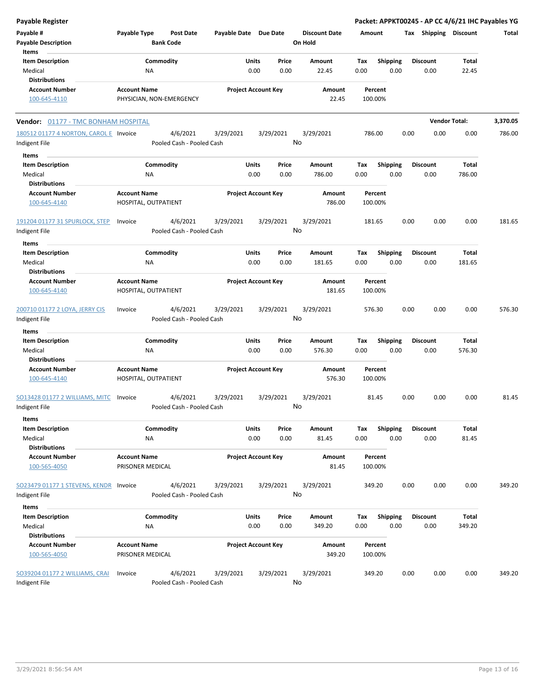| <b>Payable Register</b>                    |                          |                           |                            |                            |           |                      |                    |                 |      |                       | Packet: APPKT00245 - AP CC 4/6/21 IHC Payables YG |          |
|--------------------------------------------|--------------------------|---------------------------|----------------------------|----------------------------|-----------|----------------------|--------------------|-----------------|------|-----------------------|---------------------------------------------------|----------|
| Payable #                                  | Payable Type             | <b>Post Date</b>          | Payable Date Due Date      |                            |           | <b>Discount Date</b> | Amount             |                 |      | Tax Shipping Discount |                                                   | Total    |
| <b>Payable Description</b>                 |                          | <b>Bank Code</b>          |                            |                            |           | On Hold              |                    |                 |      |                       |                                                   |          |
| Items                                      |                          |                           |                            |                            |           |                      |                    |                 |      |                       |                                                   |          |
| <b>Item Description</b>                    | Commodity                |                           |                            | Units                      | Price     | Amount               | Tax                | <b>Shipping</b> |      | <b>Discount</b>       | Total                                             |          |
| Medical                                    | NA                       |                           |                            | 0.00                       | 0.00      | 22.45                | 0.00               | 0.00            |      | 0.00                  | 22.45                                             |          |
| <b>Distributions</b>                       |                          |                           |                            |                            |           |                      |                    |                 |      |                       |                                                   |          |
| <b>Account Number</b>                      | <b>Account Name</b>      |                           |                            | <b>Project Account Key</b> |           | Amount               |                    | Percent         |      |                       |                                                   |          |
| 100-645-4110                               | PHYSICIAN, NON-EMERGENCY |                           |                            |                            |           | 22.45                |                    | 100.00%         |      |                       |                                                   |          |
| <b>Vendor: 01177 - TMC BONHAM HOSPITAL</b> |                          |                           |                            |                            |           |                      |                    |                 |      |                       | <b>Vendor Total:</b>                              | 3,370.05 |
| 180512 01177 4 NORTON, CAROL E Invoice     |                          | 4/6/2021                  | 3/29/2021                  |                            | 3/29/2021 | 3/29/2021            | 786.00             |                 | 0.00 | 0.00                  | 0.00                                              | 786.00   |
| Indigent File                              |                          | Pooled Cash - Pooled Cash |                            |                            |           | No                   |                    |                 |      |                       |                                                   |          |
| Items                                      |                          |                           |                            |                            |           |                      |                    |                 |      |                       |                                                   |          |
| <b>Item Description</b>                    | Commodity                |                           |                            | Units                      | Price     | Amount               | Tax                | Shipping        |      | <b>Discount</b>       | Total                                             |          |
| Medical                                    | ΝA                       |                           |                            | 0.00                       | 0.00      | 786.00               | 0.00               | 0.00            |      | 0.00                  | 786.00                                            |          |
| <b>Distributions</b>                       |                          |                           |                            |                            |           |                      |                    |                 |      |                       |                                                   |          |
| <b>Account Number</b>                      | <b>Account Name</b>      |                           | <b>Project Account Key</b> |                            | Amount    | Percent              |                    |                 |      |                       |                                                   |          |
| 100-645-4140                               | HOSPITAL, OUTPATIENT     |                           |                            |                            |           | 786.00               |                    | 100.00%         |      |                       |                                                   |          |
| 191204 01177 31 SPURLOCK, STEP             | Invoice                  | 4/6/2021                  | 3/29/2021                  |                            | 3/29/2021 | 3/29/2021            | 181.65             |                 | 0.00 | 0.00                  | 0.00                                              | 181.65   |
| Indigent File                              |                          | Pooled Cash - Pooled Cash |                            |                            |           | No                   |                    |                 |      |                       |                                                   |          |
|                                            |                          |                           |                            |                            |           |                      |                    |                 |      |                       |                                                   |          |
| Items<br><b>Item Description</b>           | Commodity                |                           |                            | Units                      | Price     | Amount               | Tax                | Shipping        |      | <b>Discount</b>       | Total                                             |          |
| Medical                                    | ΝA                       |                           |                            | 0.00                       | 0.00      | 181.65               | 0.00               | 0.00            |      | 0.00                  | 181.65                                            |          |
| <b>Distributions</b>                       |                          |                           |                            |                            |           |                      |                    |                 |      |                       |                                                   |          |
| <b>Account Number</b>                      | <b>Account Name</b>      |                           |                            | <b>Project Account Key</b> |           | Amount               |                    | Percent         |      |                       |                                                   |          |
| 100-645-4140                               | HOSPITAL, OUTPATIENT     |                           |                            |                            |           | 181.65               |                    | 100.00%         |      |                       |                                                   |          |
|                                            |                          |                           |                            |                            |           |                      |                    |                 |      |                       |                                                   |          |
| 200710 01177 2 LOYA, JERRY CIS             | Invoice                  | 4/6/2021                  | 3/29/2021                  |                            | 3/29/2021 | 3/29/2021            | 576.30             |                 | 0.00 | 0.00                  | 0.00                                              | 576.30   |
| Indigent File                              |                          | Pooled Cash - Pooled Cash |                            |                            |           | No                   |                    |                 |      |                       |                                                   |          |
|                                            |                          |                           |                            |                            |           |                      |                    |                 |      |                       |                                                   |          |
| Items                                      |                          |                           |                            |                            |           |                      |                    |                 |      |                       |                                                   |          |
| <b>Item Description</b>                    | Commodity                |                           |                            | Units                      | Price     | Amount               | Tax                | Shipping        |      | <b>Discount</b>       | Total                                             |          |
| Medical                                    | NA                       |                           |                            | 0.00                       | 0.00      | 576.30               | 0.00               | 0.00            |      | 0.00                  | 576.30                                            |          |
| <b>Distributions</b>                       |                          |                           |                            |                            |           |                      |                    |                 |      |                       |                                                   |          |
| <b>Account Number</b>                      | <b>Account Name</b>      |                           |                            | <b>Project Account Key</b> |           | Amount               | Percent<br>100.00% |                 |      |                       |                                                   |          |
| 100-645-4140                               | HOSPITAL, OUTPATIENT     |                           |                            |                            |           | 576.30               |                    |                 |      |                       |                                                   |          |
| SO13428 01177 2 WILLIAMS, MITC             | Invoice                  | 4/6/2021                  | 3/29/2021                  |                            | 3/29/2021 | 3/29/2021            |                    | 81.45           | 0.00 | 0.00                  | 0.00                                              | 81.45    |
| <b>Indigent File</b>                       |                          | Pooled Cash - Pooled Cash |                            |                            |           | No                   |                    |                 |      |                       |                                                   |          |
| Items                                      |                          |                           |                            |                            |           |                      |                    |                 |      |                       |                                                   |          |
| <b>Item Description</b>                    | Commodity                |                           |                            | Units                      | Price     | Amount               | Tax                | <b>Shipping</b> |      | <b>Discount</b>       | <b>Total</b>                                      |          |
| Medical                                    | NA                       |                           |                            | 0.00                       | 0.00      | 81.45                | 0.00               | 0.00            |      | 0.00                  | 81.45                                             |          |
| <b>Distributions</b>                       |                          |                           |                            |                            |           |                      |                    |                 |      |                       |                                                   |          |
| <b>Account Number</b>                      | <b>Account Name</b>      |                           |                            | <b>Project Account Key</b> |           | Amount               |                    | Percent         |      |                       |                                                   |          |
| 100-565-4050                               | PRISONER MEDICAL         |                           |                            |                            |           | 81.45                |                    | 100.00%         |      |                       |                                                   |          |
| SO23479 01177 1 STEVENS, KENDR             | Invoice                  | 4/6/2021                  | 3/29/2021                  |                            | 3/29/2021 | 3/29/2021            |                    | 349.20          | 0.00 | 0.00                  | 0.00                                              | 349.20   |
| Indigent File                              |                          | Pooled Cash - Pooled Cash |                            |                            |           | No                   |                    |                 |      |                       |                                                   |          |
|                                            |                          |                           |                            |                            |           |                      |                    |                 |      |                       |                                                   |          |
| Items                                      |                          |                           |                            |                            |           |                      |                    |                 |      |                       |                                                   |          |
| <b>Item Description</b>                    | Commodity                |                           |                            | Units                      | Price     | Amount               | Tax                | Shipping        |      | <b>Discount</b>       | Total                                             |          |
| Medical                                    | NA                       |                           |                            | 0.00                       | 0.00      | 349.20               | 0.00               | 0.00            |      | 0.00                  | 349.20                                            |          |
| <b>Distributions</b>                       |                          |                           |                            |                            |           |                      |                    |                 |      |                       |                                                   |          |
| <b>Account Number</b>                      | <b>Account Name</b>      |                           |                            | <b>Project Account Key</b> |           | Amount               |                    | Percent         |      |                       |                                                   |          |
| 100-565-4050                               | PRISONER MEDICAL         |                           |                            |                            |           | 349.20               |                    | 100.00%         |      |                       |                                                   |          |
| SO39204 01177 2 WILLIAMS, CRAI             | Invoice                  | 4/6/2021                  | 3/29/2021                  |                            | 3/29/2021 | 3/29/2021            | 349.20             |                 | 0.00 | 0.00                  | 0.00                                              | 349.20   |
| Indigent File                              |                          | Pooled Cash - Pooled Cash |                            |                            |           | No                   |                    |                 |      |                       |                                                   |          |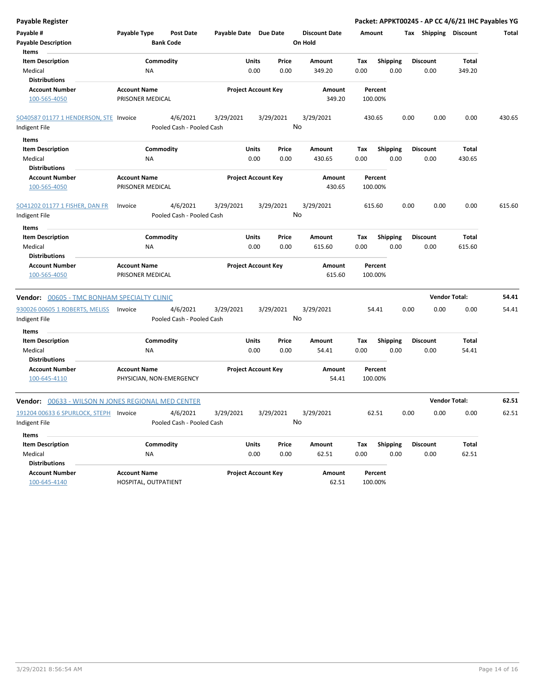| Payable Register                                   |                                         |                                      |                            |       |                            |                                 |                    |                    |      |                       | Packet: APPKT00245 - AP CC 4/6/21 IHC Payables YG |        |
|----------------------------------------------------|-----------------------------------------|--------------------------------------|----------------------------|-------|----------------------------|---------------------------------|--------------------|--------------------|------|-----------------------|---------------------------------------------------|--------|
| Payable #<br><b>Payable Description</b>            | Payable Type                            | <b>Post Date</b><br><b>Bank Code</b> | Payable Date Due Date      |       |                            | <b>Discount Date</b><br>On Hold | Amount             |                    |      | Tax Shipping Discount |                                                   | Total  |
| Items<br><b>Item Description</b>                   |                                         | Commodity                            |                            | Units | Price                      | Amount                          | Tax                | <b>Shipping</b>    |      | <b>Discount</b>       | <b>Total</b>                                      |        |
| Medical                                            |                                         | ΝA                                   |                            | 0.00  | 0.00                       | 349.20                          | 0.00               | 0.00               |      | 0.00                  | 349.20                                            |        |
| <b>Distributions</b>                               |                                         |                                      |                            |       |                            |                                 |                    |                    |      |                       |                                                   |        |
| <b>Account Number</b>                              | <b>Account Name</b>                     |                                      |                            |       | <b>Project Account Key</b> | Amount                          |                    | Percent            |      |                       |                                                   |        |
| 100-565-4050                                       |                                         | PRISONER MEDICAL                     |                            |       |                            | 349.20                          |                    | 100.00%            |      |                       |                                                   |        |
| SO40587 01177 1 HENDERSON, STE Invoice             |                                         | 4/6/2021                             | 3/29/2021                  |       | 3/29/2021                  | 3/29/2021                       |                    | 430.65             | 0.00 | 0.00                  | 0.00                                              | 430.65 |
| Indigent File                                      |                                         | Pooled Cash - Pooled Cash            |                            |       |                            | No                              |                    |                    |      |                       |                                                   |        |
| Items                                              |                                         |                                      |                            |       |                            |                                 |                    |                    |      |                       |                                                   |        |
| <b>Item Description</b>                            |                                         | Commodity                            |                            | Units | Price                      | Amount                          | Tax                | <b>Shipping</b>    |      | <b>Discount</b>       | Total                                             |        |
| Medical<br><b>Distributions</b>                    |                                         | <b>NA</b>                            |                            | 0.00  | 0.00                       | 430.65                          | 0.00               | 0.00               |      | 0.00                  | 430.65                                            |        |
| <b>Account Number</b>                              | <b>Account Name</b>                     |                                      |                            |       |                            | Amount                          |                    | Percent            |      |                       |                                                   |        |
| 100-565-4050                                       |                                         | PRISONER MEDICAL                     | <b>Project Account Key</b> |       |                            | 430.65                          | 100.00%            |                    |      |                       |                                                   |        |
| SO41202 01177 1 FISHER, DAN FR                     | Invoice                                 | 4/6/2021                             | 3/29/2021                  |       | 3/29/2021                  | 3/29/2021                       |                    | 615.60             | 0.00 | 0.00                  | 0.00                                              | 615.60 |
| Indigent File                                      |                                         | Pooled Cash - Pooled Cash            |                            |       |                            | No                              |                    |                    |      |                       |                                                   |        |
| Items                                              |                                         |                                      |                            |       |                            |                                 |                    |                    |      |                       |                                                   |        |
| <b>Item Description</b>                            |                                         | Commodity                            |                            | Units | Price                      | Amount                          | Tax                | <b>Shipping</b>    |      | <b>Discount</b>       | Total                                             |        |
| Medical<br><b>Distributions</b>                    |                                         | ΝA                                   |                            | 0.00  | 0.00                       | 615.60                          | 0.00               | 0.00               |      | 0.00                  | 615.60                                            |        |
| <b>Account Number</b><br>100-565-4050              | <b>Account Name</b><br>PRISONER MEDICAL |                                      | <b>Project Account Key</b> |       | Amount<br>615.60           |                                 | Percent<br>100.00% |                    |      |                       |                                                   |        |
| Vendor: 00605 - TMC BONHAM SPECIALTY CLINIC        |                                         |                                      |                            |       |                            |                                 |                    |                    |      | <b>Vendor Total:</b>  |                                                   | 54.41  |
| 930026 00605 1 ROBERTS, MELISS                     | Invoice                                 | 4/6/2021                             | 3/29/2021                  |       | 3/29/2021                  | 3/29/2021                       |                    | 54.41              | 0.00 | 0.00                  | 0.00                                              | 54.41  |
| Indigent File                                      |                                         | Pooled Cash - Pooled Cash            |                            |       |                            | No                              |                    |                    |      |                       |                                                   |        |
| Items<br><b>Item Description</b>                   |                                         | Commodity                            |                            | Units | Price                      | Amount                          | Tax                | <b>Shipping</b>    |      | <b>Discount</b>       | Total                                             |        |
| Medical                                            |                                         | ΝA                                   |                            | 0.00  | 0.00                       | 54.41                           | 0.00               | 0.00               |      | 0.00                  | 54.41                                             |        |
| <b>Distributions</b>                               |                                         |                                      |                            |       |                            |                                 |                    |                    |      |                       |                                                   |        |
| <b>Account Number</b><br>100-645-4110              | <b>Account Name</b>                     | PHYSICIAN, NON-EMERGENCY             |                            |       | <b>Project Account Key</b> | Amount<br>54.41                 |                    | Percent<br>100.00% |      |                       |                                                   |        |
| Vendor: 00633 - WILSON N JONES REGIONAL MED CENTER |                                         |                                      |                            |       |                            |                                 |                    |                    |      | <b>Vendor Total:</b>  |                                                   | 62.51  |
| 191204 00633 6 SPURLOCK, STEPH                     | Invoice                                 | 4/6/2021                             | 3/29/2021                  |       | 3/29/2021                  | 3/29/2021                       |                    | 62.51              | 0.00 | 0.00                  | 0.00                                              | 62.51  |
| Indigent File                                      |                                         | Pooled Cash - Pooled Cash            |                            |       |                            | No                              |                    |                    |      |                       |                                                   |        |
| Items                                              |                                         |                                      |                            |       |                            |                                 |                    |                    |      |                       |                                                   |        |
| <b>Item Description</b>                            |                                         | Commodity                            |                            | Units | Price                      | Amount                          | Tax                | Shipping           |      | <b>Discount</b>       | Total                                             |        |
| Medical                                            |                                         | NA                                   |                            | 0.00  | 0.00                       | 62.51                           | 0.00               | 0.00               |      | 0.00                  | 62.51                                             |        |
| <b>Distributions</b>                               |                                         |                                      |                            |       |                            |                                 |                    |                    |      |                       |                                                   |        |
| <b>Account Number</b>                              | <b>Account Name</b>                     |                                      |                            |       | <b>Project Account Key</b> | Amount                          |                    | Percent            |      |                       |                                                   |        |
| 100-645-4140                                       |                                         | HOSPITAL, OUTPATIENT                 |                            |       |                            | 62.51                           |                    | 100.00%            |      |                       |                                                   |        |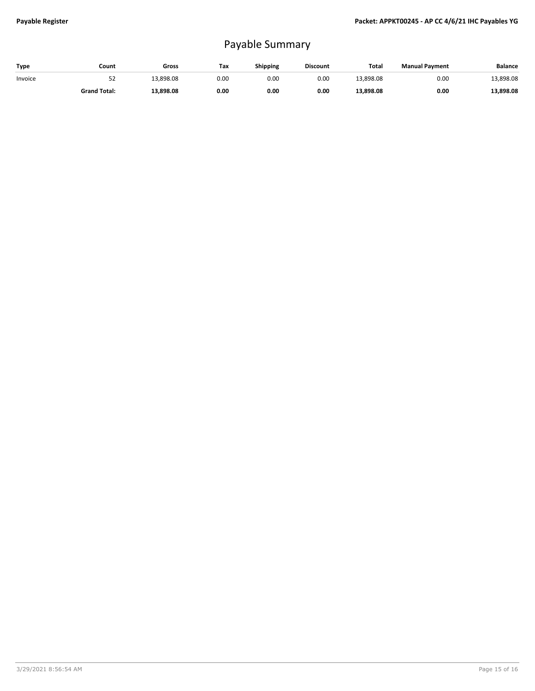## Payable Summary

| Type    | Count               | Gross     | Tax  | Shipping | <b>Discount</b> | Total     | <b>Manual Payment</b> | Balance   |
|---------|---------------------|-----------|------|----------|-----------------|-----------|-----------------------|-----------|
| Invoice | ےر                  | 13,898.08 | 0.00 | 0.00     | 0.00            | 13,898.08 | 0.00                  | 13,898.08 |
|         | <b>Grand Total:</b> | 13,898.08 | 0.00 | 0.00     | 0.00            | 13,898.08 | 0.00                  | 13,898.08 |